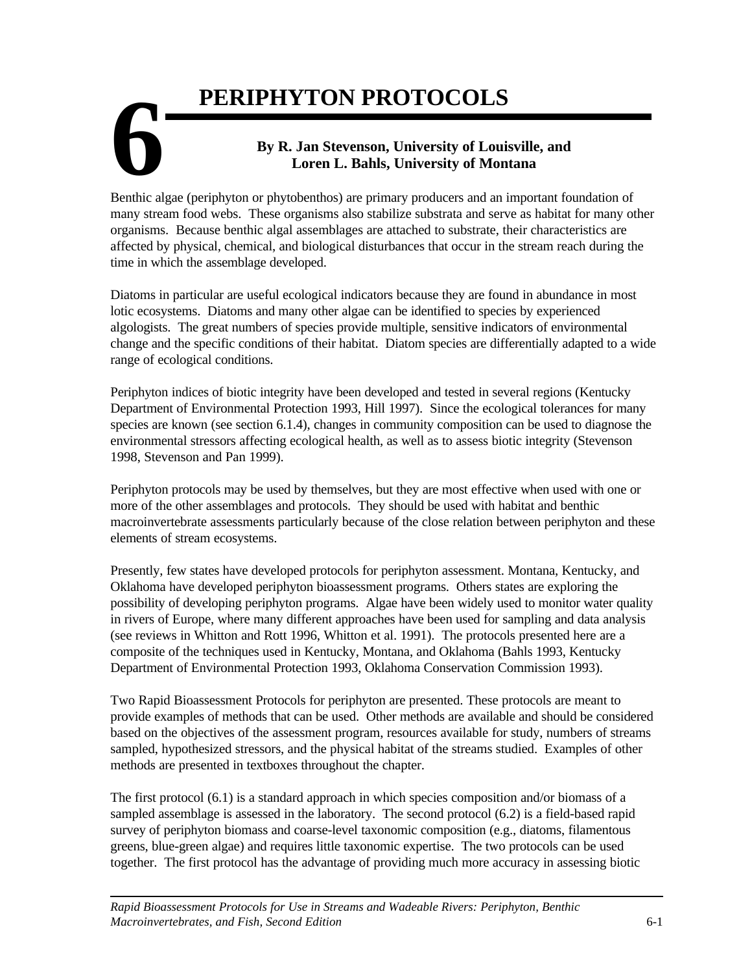# **6 PERIPHYTON PROTOCOLS By R. Jan Stevenson, University of Louisville, and Loren L. Bahls, University of Montana**

Benthic algae (periphyton or phytobenthos) are primary producers and an important foundation of many stream food webs. These organisms also stabilize substrata and serve as habitat for many other organisms. Because benthic algal assemblages are attached to substrate, their characteristics are affected by physical, chemical, and biological disturbances that occur in the stream reach during the time in which the assemblage developed.

Diatoms in particular are useful ecological indicators because they are found in abundance in most lotic ecosystems. Diatoms and many other algae can be identified to species by experienced algologists. The great numbers of species provide multiple, sensitive indicators of environmental change and the specific conditions of their habitat. Diatom species are differentially adapted to a wide range of ecological conditions.

Periphyton indices of biotic integrity have been developed and tested in several regions (Kentucky Department of Environmental Protection 1993, Hill 1997). Since the ecological tolerances for many species are known (see section 6.1.4), changes in community composition can be used to diagnose the environmental stressors affecting ecological health, as well as to assess biotic integrity (Stevenson 1998, Stevenson and Pan 1999).

Periphyton protocols may be used by themselves, but they are most effective when used with one or more of the other assemblages and protocols. They should be used with habitat and benthic macroinvertebrate assessments particularly because of the close relation between periphyton and these elements of stream ecosystems.

Presently, few states have developed protocols for periphyton assessment. Montana, Kentucky, and Oklahoma have developed periphyton bioassessment programs. Others states are exploring the possibility of developing periphyton programs. Algae have been widely used to monitor water quality in rivers of Europe, where many different approaches have been used for sampling and data analysis (see reviews in Whitton and Rott 1996, Whitton et al. 1991). The protocols presented here are a composite of the techniques used in Kentucky, Montana, and Oklahoma (Bahls 1993, Kentucky Department of Environmental Protection 1993, Oklahoma Conservation Commission 1993).

Two Rapid Bioassessment Protocols for periphyton are presented. These protocols are meant to provide examples of methods that can be used. Other methods are available and should be considered based on the objectives of the assessment program, resources available for study, numbers of streams sampled, hypothesized stressors, and the physical habitat of the streams studied. Examples of other methods are presented in textboxes throughout the chapter.

The first protocol (6.1) is a standard approach in which species composition and/or biomass of a sampled assemblage is assessed in the laboratory. The second protocol (6.2) is a field-based rapid survey of periphyton biomass and coarse-level taxonomic composition (e.g., diatoms, filamentous greens, blue-green algae) and requires little taxonomic expertise. The two protocols can be used together. The first protocol has the advantage of providing much more accuracy in assessing biotic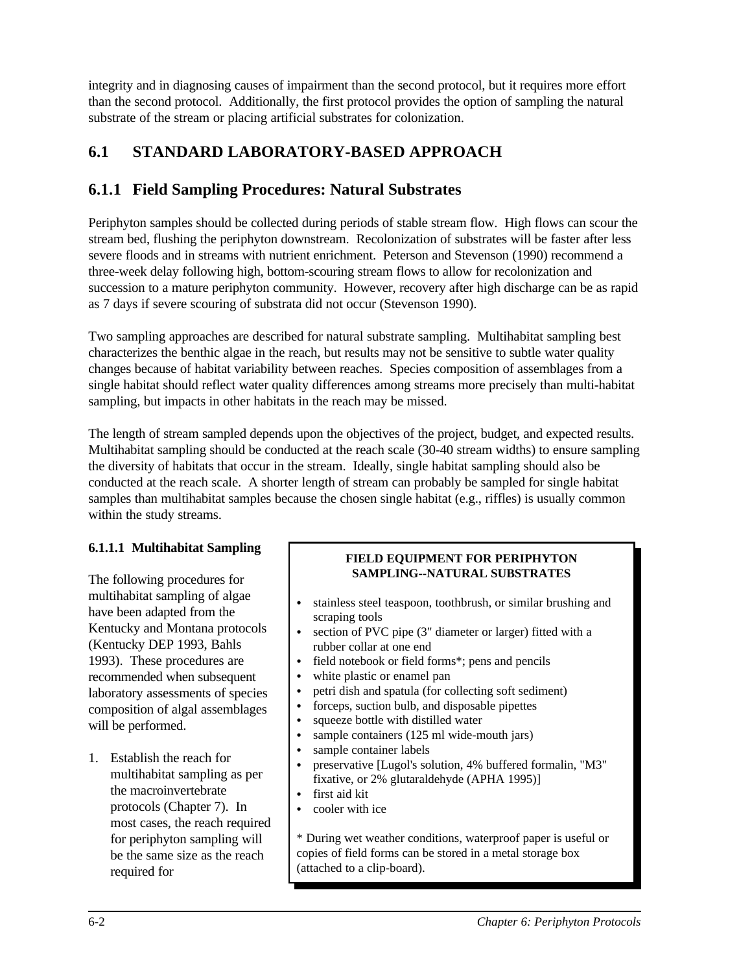integrity and in diagnosing causes of impairment than the second protocol, but it requires more effort than the second protocol. Additionally, the first protocol provides the option of sampling the natural substrate of the stream or placing artificial substrates for colonization.

# **6.1 STANDARD LABORATORY-BASED APPROACH**

# **6.1.1 Field Sampling Procedures: Natural Substrates**

Periphyton samples should be collected during periods of stable stream flow. High flows can scour the stream bed, flushing the periphyton downstream. Recolonization of substrates will be faster after less severe floods and in streams with nutrient enrichment. Peterson and Stevenson (1990) recommend a three-week delay following high, bottom-scouring stream flows to allow for recolonization and succession to a mature periphyton community. However, recovery after high discharge can be as rapid as 7 days if severe scouring of substrata did not occur (Stevenson 1990).

Two sampling approaches are described for natural substrate sampling. Multihabitat sampling best characterizes the benthic algae in the reach, but results may not be sensitive to subtle water quality changes because of habitat variability between reaches. Species composition of assemblages from a single habitat should reflect water quality differences among streams more precisely than multi-habitat sampling, but impacts in other habitats in the reach may be missed.

The length of stream sampled depends upon the objectives of the project, budget, and expected results. Multihabitat sampling should be conducted at the reach scale (30-40 stream widths) to ensure sampling the diversity of habitats that occur in the stream. Ideally, single habitat sampling should also be conducted at the reach scale. A shorter length of stream can probably be sampled for single habitat samples than multihabitat samples because the chosen single habitat (e.g., riffles) is usually common within the study streams.

## **6.1.1.1 Multihabitat Sampling**

The following procedures for multihabitat sampling of algae have been adapted from the Kentucky and Montana protocols (Kentucky DEP 1993, Bahls 1993). These procedures are recommended when subsequent laboratory assessments of species composition of algal assemblages will be performed.

1. Establish the reach for multihabitat sampling as per the macroinvertebrate protocols (Chapter 7). In most cases, the reach required for periphyton sampling will be the same size as the reach required for

## **FIELD EQUIPMENT FOR PERIPHYTON SAMPLING--NATURAL SUBSTRATES**

- stainless steel teaspoon, toothbrush, or similar brushing and scraping tools
- section of PVC pipe  $(3)$ " diameter or larger) fitted with a rubber collar at one end
- field notebook or field forms\*; pens and pencils
- white plastic or enamel pan
- petri dish and spatula (for collecting soft sediment)
- forceps, suction bulb, and disposable pipettes
- squeeze bottle with distilled water
- sample containers (125 ml wide-mouth jars)<br>• sample container labels
- sample container labels
- preservative [Lugol's solution, 4% buffered formalin, "M3" fixative, or 2% glutaraldehyde (APHA 1995)]
- first aid kit
- cooler with ice

\* During wet weather conditions, waterproof paper is useful or copies of field forms can be stored in a metal storage box (attached to a clip-board).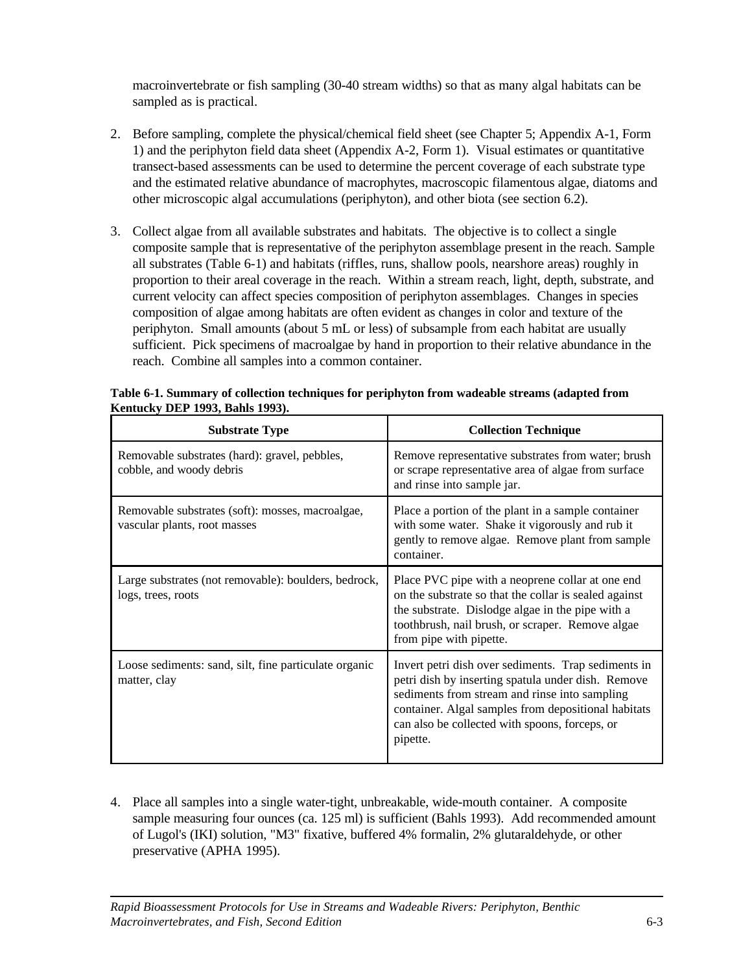macroinvertebrate or fish sampling (30-40 stream widths) so that as many algal habitats can be sampled as is practical.

- 2. Before sampling, complete the physical/chemical field sheet (see Chapter 5; Appendix A-1, Form 1) and the periphyton field data sheet (Appendix A-2, Form 1). Visual estimates or quantitative transect-based assessments can be used to determine the percent coverage of each substrate type and the estimated relative abundance of macrophytes, macroscopic filamentous algae, diatoms and other microscopic algal accumulations (periphyton), and other biota (see section 6.2).
- 3. Collect algae from all available substrates and habitats. The objective is to collect a single composite sample that is representative of the periphyton assemblage present in the reach. Sample all substrates (Table 6-1) and habitats (riffles, runs, shallow pools, nearshore areas) roughly in proportion to their areal coverage in the reach. Within a stream reach, light, depth, substrate, and current velocity can affect species composition of periphyton assemblages. Changes in species composition of algae among habitats are often evident as changes in color and texture of the periphyton. Small amounts (about 5 mL or less) of subsample from each habitat are usually sufficient. Pick specimens of macroalgae by hand in proportion to their relative abundance in the reach. Combine all samples into a common container.

| <b>Substrate Type</b>                                                            | <b>Collection Technique</b>                                                                                                                                                                                                                                                     |
|----------------------------------------------------------------------------------|---------------------------------------------------------------------------------------------------------------------------------------------------------------------------------------------------------------------------------------------------------------------------------|
| Removable substrates (hard): gravel, pebbles,<br>cobble, and woody debris        | Remove representative substrates from water; brush<br>or scrape representative area of algae from surface<br>and rinse into sample jar.                                                                                                                                         |
| Removable substrates (soft): mosses, macroalgae,<br>vascular plants, root masses | Place a portion of the plant in a sample container<br>with some water. Shake it vigorously and rub it<br>gently to remove algae. Remove plant from sample<br>container.                                                                                                         |
| Large substrates (not removable): boulders, bedrock,<br>logs, trees, roots       | Place PVC pipe with a neoprene collar at one end<br>on the substrate so that the collar is sealed against<br>the substrate. Dislodge algae in the pipe with a<br>toothbrush, nail brush, or scraper. Remove algae<br>from pipe with pipette.                                    |
| Loose sediments: sand, silt, fine particulate organic<br>matter, clay            | Invert petri dish over sediments. Trap sediments in<br>petri dish by inserting spatula under dish. Remove<br>sediments from stream and rinse into sampling<br>container. Algal samples from depositional habitats<br>can also be collected with spoons, forceps, or<br>pipette. |

**Table 6-1. Summary of collection techniques for periphyton from wadeable streams (adapted from Kentucky DEP 1993, Bahls 1993).**

4. Place all samples into a single water-tight, unbreakable, wide-mouth container. A composite sample measuring four ounces (ca. 125 ml) is sufficient (Bahls 1993). Add recommended amount of Lugol's (IKI) solution, "M3" fixative, buffered 4% formalin, 2% glutaraldehyde, or other preservative (APHA 1995).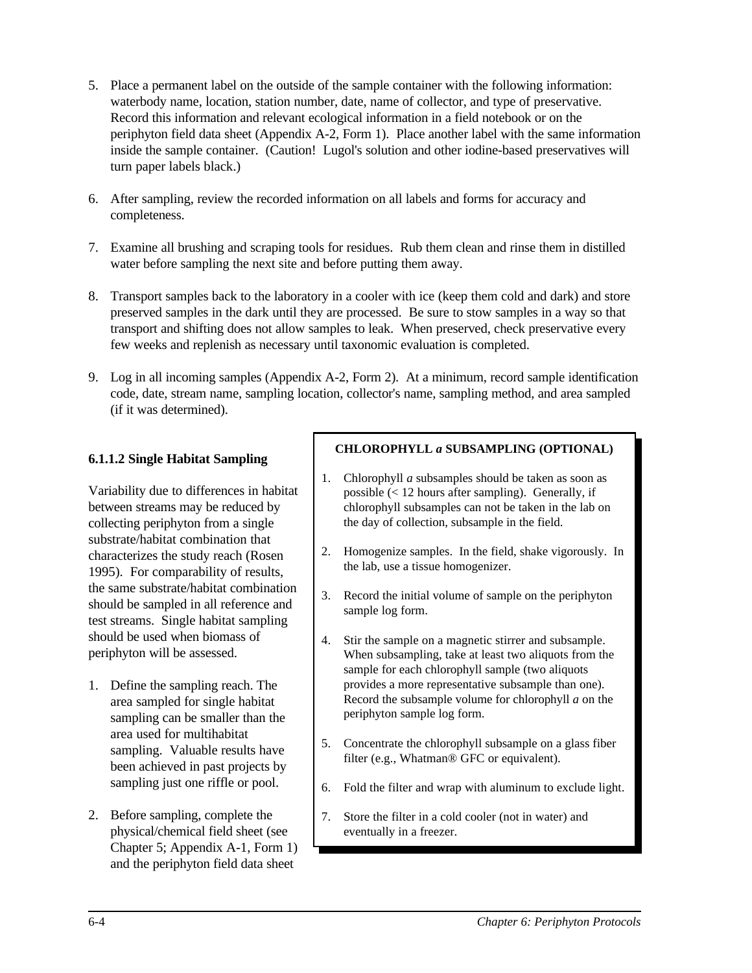- 5. Place a permanent label on the outside of the sample container with the following information: waterbody name, location, station number, date, name of collector, and type of preservative. Record this information and relevant ecological information in a field notebook or on the periphyton field data sheet (Appendix A-2, Form 1). Place another label with the same information inside the sample container. (Caution! Lugol's solution and other iodine-based preservatives will turn paper labels black.)
- 6. After sampling, review the recorded information on all labels and forms for accuracy and completeness.
- 7. Examine all brushing and scraping tools for residues. Rub them clean and rinse them in distilled water before sampling the next site and before putting them away.
- 8. Transport samples back to the laboratory in a cooler with ice (keep them cold and dark) and store preserved samples in the dark until they are processed. Be sure to stow samples in a way so that transport and shifting does not allow samples to leak. When preserved, check preservative every few weeks and replenish as necessary until taxonomic evaluation is completed.
- 9. Log in all incoming samples (Appendix A-2, Form 2). At a minimum, record sample identification code, date, stream name, sampling location, collector's name, sampling method, and area sampled (if it was determined).

## **6.1.1.2 Single Habitat Sampling**

Variability due to differences in habitat between streams may be reduced by collecting periphyton from a single substrate/habitat combination that characterizes the study reach (Rosen 1995). For comparability of results, the same substrate/habitat combination should be sampled in all reference and test streams. Single habitat sampling should be used when biomass of periphyton will be assessed.

- 1. Define the sampling reach. The area sampled for single habitat sampling can be smaller than the area used for multihabitat sampling. Valuable results have been achieved in past projects by sampling just one riffle or pool.
- 2. Before sampling, complete the physical/chemical field sheet (see Chapter 5; Appendix A-1, Form 1) and the periphyton field data sheet

#### **CHLOROPHYLL** *a* **SUBSAMPLING (OPTIONAL)**

- 1. Chlorophyll *a* subsamples should be taken as soon as possible (< 12 hours after sampling). Generally, if chlorophyll subsamples can not be taken in the lab on the day of collection, subsample in the field.
- 2. Homogenize samples. In the field, shake vigorously. In the lab, use a tissue homogenizer.
- 3. Record the initial volume of sample on the periphyton sample log form.
- 4. Stir the sample on a magnetic stirrer and subsample. When subsampling, take at least two aliquots from the sample for each chlorophyll sample (two aliquots provides a more representative subsample than one). Record the subsample volume for chlorophyll *a* on the periphyton sample log form.
- 5. Concentrate the chlorophyll subsample on a glass fiber filter (e.g., Whatman® GFC or equivalent).
- 6. Fold the filter and wrap with aluminum to exclude light.
- 7. Store the filter in a cold cooler (not in water) and eventually in a freezer.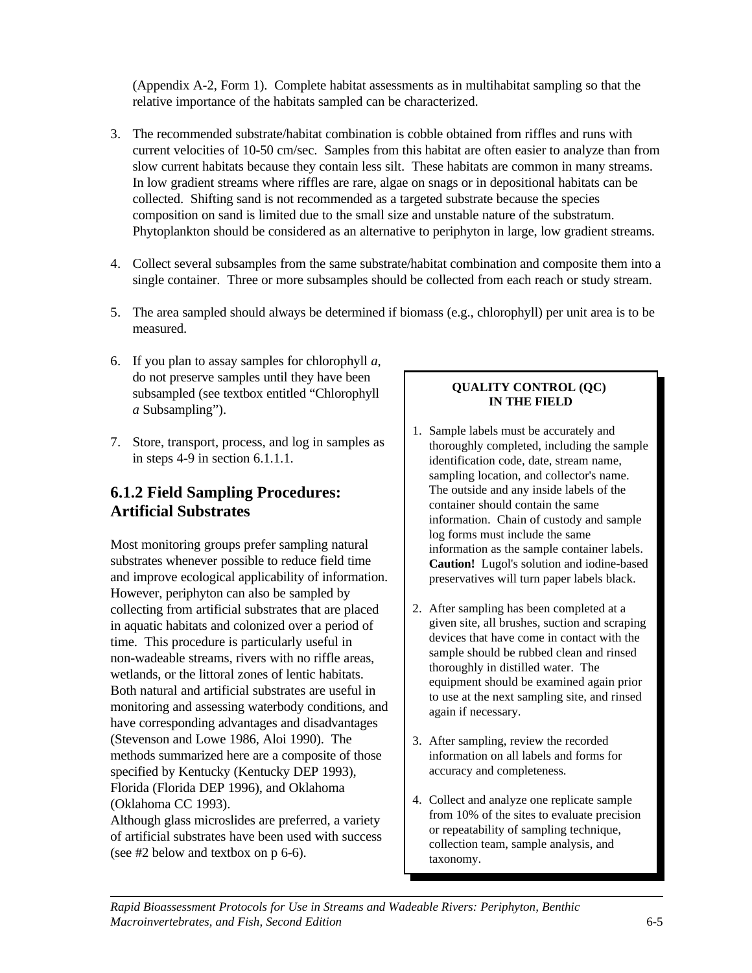(Appendix A-2, Form 1). Complete habitat assessments as in multihabitat sampling so that the relative importance of the habitats sampled can be characterized.

- 3. The recommended substrate/habitat combination is cobble obtained from riffles and runs with current velocities of 10-50 cm/sec. Samples from this habitat are often easier to analyze than from slow current habitats because they contain less silt. These habitats are common in many streams. In low gradient streams where riffles are rare, algae on snags or in depositional habitats can be collected. Shifting sand is not recommended as a targeted substrate because the species composition on sand is limited due to the small size and unstable nature of the substratum. Phytoplankton should be considered as an alternative to periphyton in large, low gradient streams.
- 4. Collect several subsamples from the same substrate/habitat combination and composite them into a single container. Three or more subsamples should be collected from each reach or study stream.
- 5. The area sampled should always be determined if biomass (e.g., chlorophyll) per unit area is to be measured.
- 6. If you plan to assay samples for chlorophyll *a*, do not preserve samples until they have been subsampled (see textbox entitled "Chlorophyll *a* Subsampling").
- 7. Store, transport, process, and log in samples as in steps 4-9 in section 6.1.1.1.

# **6.1.2 Field Sampling Procedures: Artificial Substrates**

Most monitoring groups prefer sampling natural substrates whenever possible to reduce field time and improve ecological applicability of information. However, periphyton can also be sampled by collecting from artificial substrates that are placed in aquatic habitats and colonized over a period of time. This procedure is particularly useful in non-wadeable streams, rivers with no riffle areas, wetlands, or the littoral zones of lentic habitats. Both natural and artificial substrates are useful in monitoring and assessing waterbody conditions, and have corresponding advantages and disadvantages (Stevenson and Lowe 1986, Aloi 1990). The methods summarized here are a composite of those specified by Kentucky (Kentucky DEP 1993), Florida (Florida DEP 1996), and Oklahoma (Oklahoma CC 1993).

Although glass microslides are preferred, a variety of artificial substrates have been used with success (see #2 below and textbox on p 6-6).

## **QUALITY CONTROL (QC) IN THE FIELD**

- 1. Sample labels must be accurately and thoroughly completed, including the sample identification code, date, stream name, sampling location, and collector's name. The outside and any inside labels of the container should contain the same information. Chain of custody and sample log forms must include the same information as the sample container labels. **Caution!** Lugol's solution and iodine-based preservatives will turn paper labels black.
- 2. After sampling has been completed at a given site, all brushes, suction and scraping devices that have come in contact with the sample should be rubbed clean and rinsed thoroughly in distilled water. The equipment should be examined again prior to use at the next sampling site, and rinsed again if necessary.
- 3. After sampling, review the recorded information on all labels and forms for accuracy and completeness.
- 4. Collect and analyze one replicate sample from 10% of the sites to evaluate precision or repeatability of sampling technique, collection team, sample analysis, and taxonomy.

*Rapid Bioassessment Protocols for Use in Streams and Wadeable Rivers: Periphyton, Benthic Macroinvertebrates, and Fish, Second Edition* 6-5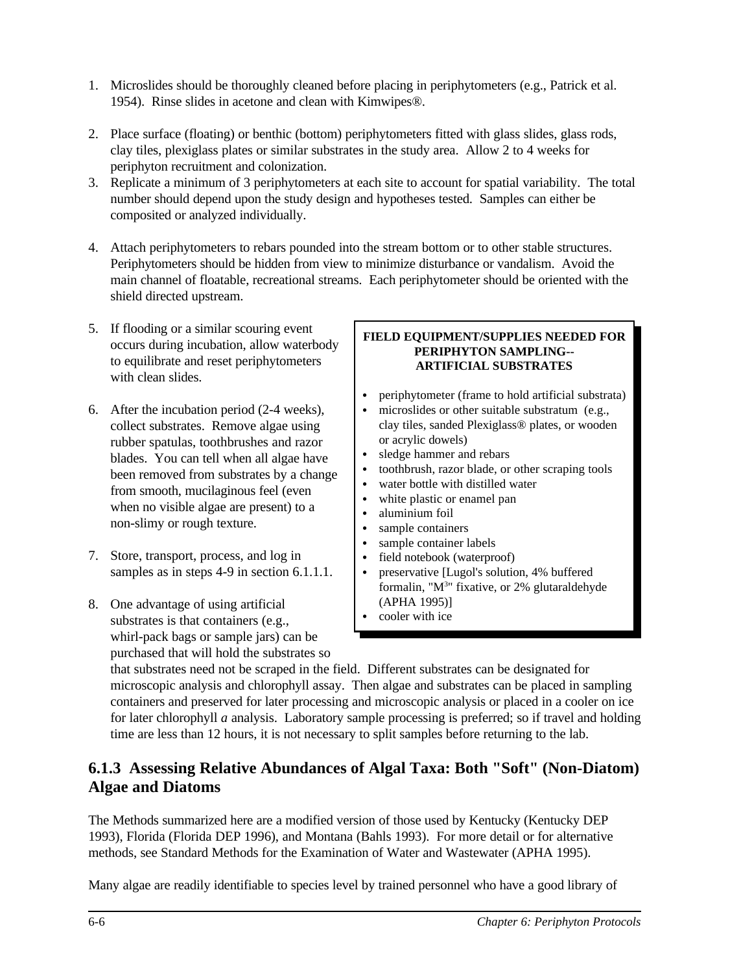- 1. Microslides should be thoroughly cleaned before placing in periphytometers (e.g., Patrick et al. 1954). Rinse slides in acetone and clean with Kimwipes®.
- 2. Place surface (floating) or benthic (bottom) periphytometers fitted with glass slides, glass rods, clay tiles, plexiglass plates or similar substrates in the study area. Allow 2 to 4 weeks for periphyton recruitment and colonization.
- 3. Replicate a minimum of 3 periphytometers at each site to account for spatial variability. The total number should depend upon the study design and hypotheses tested. Samples can either be composited or analyzed individually.
- 4. Attach periphytometers to rebars pounded into the stream bottom or to other stable structures. Periphytometers should be hidden from view to minimize disturbance or vandalism. Avoid the main channel of floatable, recreational streams. Each periphytometer should be oriented with the shield directed upstream.
- 5. If flooding or a similar scouring event occurs during incubation, allow waterbody to equilibrate and reset periphytometers with clean slides
- 6. After the incubation period (2-4 weeks), collect substrates. Remove algae using rubber spatulas, toothbrushes and razor blades. You can tell when all algae have been removed from substrates by a change from smooth, mucilaginous feel (even when no visible algae are present) to a non-slimy or rough texture.
- 7. Store, transport, process, and log in samples as in steps 4-9 in section 6.1.1.1.
- 8. One advantage of using artificial substrates is that containers (e.g., whirl-pack bags or sample jars) can be purchased that will hold the substrates so

#### **FIELD EQUIPMENT/SUPPLIES NEEDED FOR PERIPHYTON SAMPLING-- ARTIFICIAL SUBSTRATES**

- periphytometer (frame to hold artificial substrata)
- microslides or other suitable substratum (e.g., clay tiles, sanded Plexiglass® plates, or wooden or acrylic dowels)
- sledge hammer and rebars
- toothbrush, razor blade, or other scraping tools
- water bottle with distilled water
- white plastic or enamel pan
- aluminium foil
- sample containers
- sample container labels
- field notebook (waterproof)
- preservative [Lugol's solution, 4% buffered formalin, "M<sup>3</sup>" fixative, or 2% glutaraldehyde (APHA 1995)]
- cooler with ice

that substrates need not be scraped in the field. Different substrates can be designated for microscopic analysis and chlorophyll assay. Then algae and substrates can be placed in sampling containers and preserved for later processing and microscopic analysis or placed in a cooler on ice for later chlorophyll *a* analysis. Laboratory sample processing is preferred; so if travel and holding time are less than 12 hours, it is not necessary to split samples before returning to the lab.

# **6.1.3 Assessing Relative Abundances of Algal Taxa: Both "Soft" (Non-Diatom) Algae and Diatoms**

The Methods summarized here are a modified version of those used by Kentucky (Kentucky DEP 1993), Florida (Florida DEP 1996), and Montana (Bahls 1993). For more detail or for alternative methods, see Standard Methods for the Examination of Water and Wastewater (APHA 1995).

Many algae are readily identifiable to species level by trained personnel who have a good library of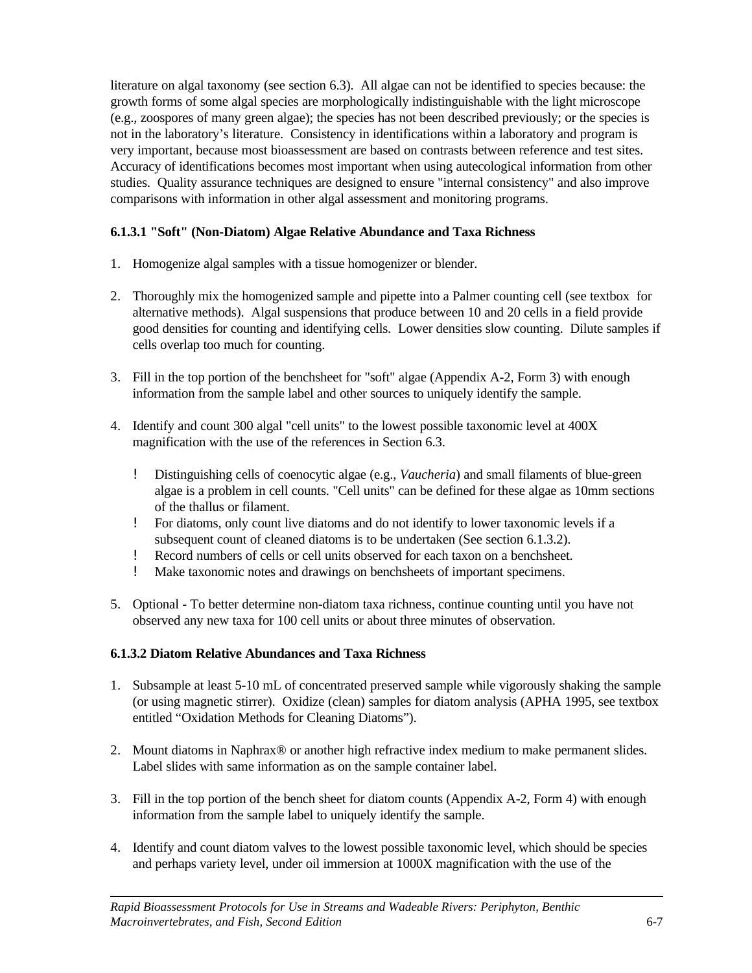literature on algal taxonomy (see section 6.3). All algae can not be identified to species because: the growth forms of some algal species are morphologically indistinguishable with the light microscope (e.g., zoospores of many green algae); the species has not been described previously; or the species is not in the laboratory's literature. Consistency in identifications within a laboratory and program is very important, because most bioassessment are based on contrasts between reference and test sites. Accuracy of identifications becomes most important when using autecological information from other studies. Quality assurance techniques are designed to ensure "internal consistency" and also improve comparisons with information in other algal assessment and monitoring programs.

## **6.1.3.1 "Soft" (Non-Diatom) Algae Relative Abundance and Taxa Richness**

- 1. Homogenize algal samples with a tissue homogenizer or blender.
- 2. Thoroughly mix the homogenized sample and pipette into a Palmer counting cell (see textbox for alternative methods). Algal suspensions that produce between 10 and 20 cells in a field provide good densities for counting and identifying cells. Lower densities slow counting. Dilute samples if cells overlap too much for counting.
- 3. Fill in the top portion of the benchsheet for "soft" algae (Appendix A-2, Form 3) with enough information from the sample label and other sources to uniquely identify the sample.
- 4. Identify and count 300 algal "cell units" to the lowest possible taxonomic level at 400X magnification with the use of the references in Section 6.3.
	- ! Distinguishing cells of coenocytic algae (e.g., *Vaucheria*) and small filaments of blue-green algae is a problem in cell counts. "Cell units" can be defined for these algae as 10mm sections of the thallus or filament.
	- ! For diatoms, only count live diatoms and do not identify to lower taxonomic levels if a subsequent count of cleaned diatoms is to be undertaken (See section 6.1.3.2).
	- ! Record numbers of cells or cell units observed for each taxon on a benchsheet.
	- ! Make taxonomic notes and drawings on benchsheets of important specimens.
- 5. Optional To better determine non-diatom taxa richness, continue counting until you have not observed any new taxa for 100 cell units or about three minutes of observation.

## **6.1.3.2 Diatom Relative Abundances and Taxa Richness**

- 1. Subsample at least 5-10 mL of concentrated preserved sample while vigorously shaking the sample (or using magnetic stirrer). Oxidize (clean) samples for diatom analysis (APHA 1995, see textbox entitled "Oxidation Methods for Cleaning Diatoms").
- 2. Mount diatoms in Naphrax® or another high refractive index medium to make permanent slides. Label slides with same information as on the sample container label.
- 3. Fill in the top portion of the bench sheet for diatom counts (Appendix A-2, Form 4) with enough information from the sample label to uniquely identify the sample.
- 4. Identify and count diatom valves to the lowest possible taxonomic level, which should be species and perhaps variety level, under oil immersion at 1000X magnification with the use of the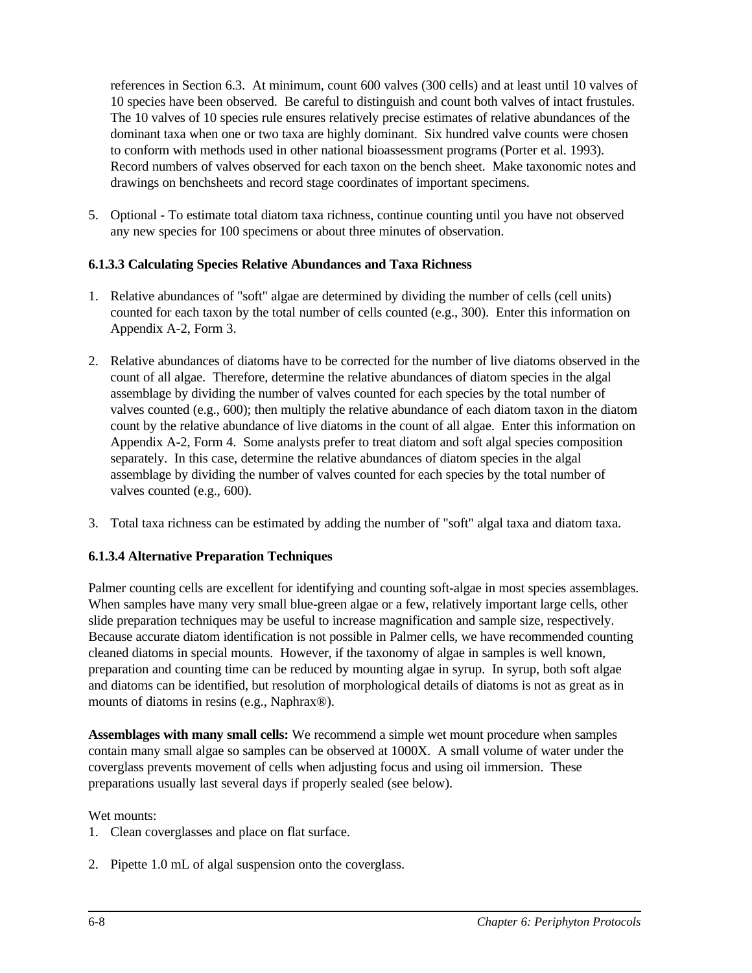references in Section 6.3. At minimum, count 600 valves (300 cells) and at least until 10 valves of 10 species have been observed. Be careful to distinguish and count both valves of intact frustules. The 10 valves of 10 species rule ensures relatively precise estimates of relative abundances of the dominant taxa when one or two taxa are highly dominant. Six hundred valve counts were chosen to conform with methods used in other national bioassessment programs (Porter et al. 1993). Record numbers of valves observed for each taxon on the bench sheet. Make taxonomic notes and drawings on benchsheets and record stage coordinates of important specimens.

5. Optional - To estimate total diatom taxa richness, continue counting until you have not observed any new species for 100 specimens or about three minutes of observation.

## **6.1.3.3 Calculating Species Relative Abundances and Taxa Richness**

- 1. Relative abundances of "soft" algae are determined by dividing the number of cells (cell units) counted for each taxon by the total number of cells counted (e.g., 300). Enter this information on Appendix A-2, Form 3.
- 2. Relative abundances of diatoms have to be corrected for the number of live diatoms observed in the count of all algae. Therefore, determine the relative abundances of diatom species in the algal assemblage by dividing the number of valves counted for each species by the total number of valves counted (e.g., 600); then multiply the relative abundance of each diatom taxon in the diatom count by the relative abundance of live diatoms in the count of all algae. Enter this information on Appendix A-2, Form 4. Some analysts prefer to treat diatom and soft algal species composition separately. In this case, determine the relative abundances of diatom species in the algal assemblage by dividing the number of valves counted for each species by the total number of valves counted (e.g., 600).
- 3. Total taxa richness can be estimated by adding the number of "soft" algal taxa and diatom taxa.

## **6.1.3.4 Alternative Preparation Techniques**

Palmer counting cells are excellent for identifying and counting soft-algae in most species assemblages. When samples have many very small blue-green algae or a few, relatively important large cells, other slide preparation techniques may be useful to increase magnification and sample size, respectively. Because accurate diatom identification is not possible in Palmer cells, we have recommended counting cleaned diatoms in special mounts. However, if the taxonomy of algae in samples is well known, preparation and counting time can be reduced by mounting algae in syrup. In syrup, both soft algae and diatoms can be identified, but resolution of morphological details of diatoms is not as great as in mounts of diatoms in resins (e.g., Naphrax®).

**Assemblages with many small cells:** We recommend a simple wet mount procedure when samples contain many small algae so samples can be observed at 1000X. A small volume of water under the coverglass prevents movement of cells when adjusting focus and using oil immersion. These preparations usually last several days if properly sealed (see below).

#### Wet mounts:

- 1. Clean coverglasses and place on flat surface.
- 2. Pipette 1.0 mL of algal suspension onto the coverglass.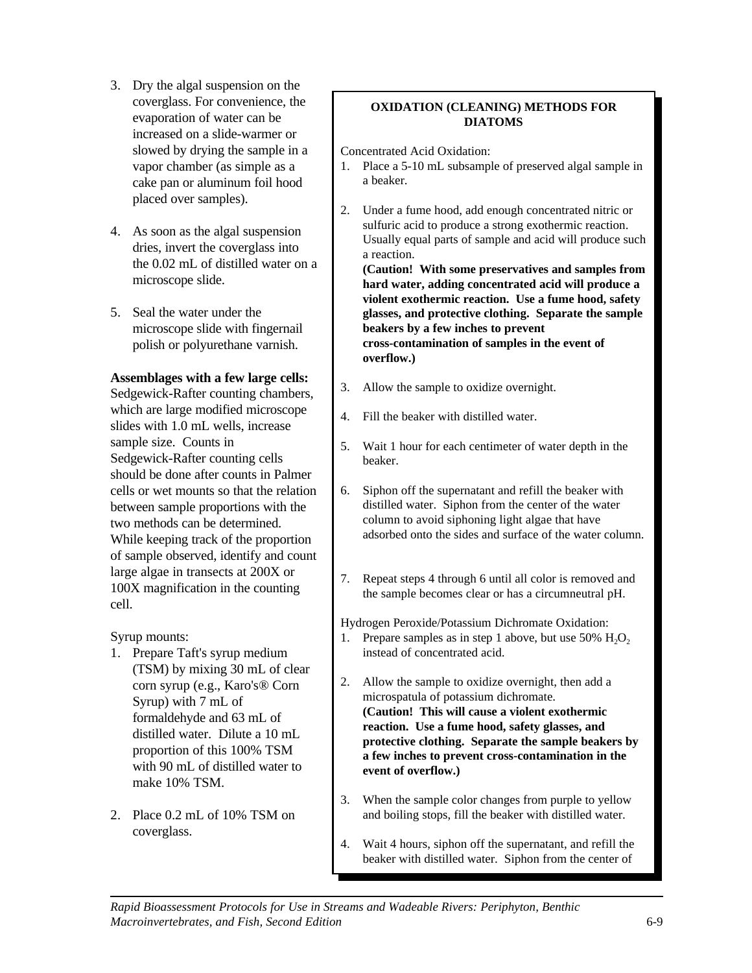- 3. Dry the algal suspension on the coverglass. For convenience, the evaporation of water can be increased on a slide-warmer or slowed by drying the sample in a vapor chamber (as simple as a cake pan or aluminum foil hood placed over samples).
- 4. As soon as the algal suspension dries, invert the coverglass into the 0.02 mL of distilled water on a microscope slide.
- 5. Seal the water under the microscope slide with fingernail polish or polyurethane varnish.

#### **Assemblages with a few large cells:**

Sedgewick-Rafter counting chambers, which are large modified microscope slides with 1.0 mL wells, increase sample size. Counts in Sedgewick-Rafter counting cells should be done after counts in Palmer cells or wet mounts so that the relation between sample proportions with the two methods can be determined. While keeping track of the proportion of sample observed, identify and count large algae in transects at 200X or 100X magnification in the counting cell.

Syrup mounts:

- 1. Prepare Taft's syrup medium (TSM) by mixing 30 mL of clear corn syrup (e.g., Karo's® Corn Syrup) with 7 mL of formaldehyde and 63 mL of distilled water. Dilute a 10 mL proportion of this 100% TSM with 90 mL of distilled water to make 10% TSM.
- 2. Place 0.2 mL of 10% TSM on coverglass.

## **OXIDATION (CLEANING) METHODS FOR DIATOMS**

Concentrated Acid Oxidation:

- 1. Place a 5-10 mL subsample of preserved algal sample in a beaker.
- 2. Under a fume hood, add enough concentrated nitric or sulfuric acid to produce a strong exothermic reaction. Usually equal parts of sample and acid will produce such a reaction.

**(Caution! With some preservatives and samples from hard water, adding concentrated acid will produce a violent exothermic reaction. Use a fume hood, safety glasses, and protective clothing. Separate the sample beakers by a few inches to prevent cross-contamination of samples in the event of overflow.)**

- 3. Allow the sample to oxidize overnight.
- 4. Fill the beaker with distilled water.
- 5. Wait 1 hour for each centimeter of water depth in the beaker.
- 6. Siphon off the supernatant and refill the beaker with distilled water. Siphon from the center of the water column to avoid siphoning light algae that have adsorbed onto the sides and surface of the water column.
- 7. Repeat steps 4 through 6 until all color is removed and the sample becomes clear or has a circumneutral pH.

Hydrogen Peroxide/Potassium Dichromate Oxidation:

- 1. Prepare samples as in step 1 above, but use 50%  $H_2O_2$ instead of concentrated acid.
- 2. Allow the sample to oxidize overnight, then add a microspatula of potassium dichromate. **(Caution! This will cause a violent exothermic reaction. Use a fume hood, safety glasses, and protective clothing. Separate the sample beakers by a few inches to prevent cross-contamination in the event of overflow.)**
- 3. When the sample color changes from purple to yellow and boiling stops, fill the beaker with distilled water.
- 4. Wait 4 hours, siphon off the supernatant, and refill the beaker with distilled water. Siphon from the center of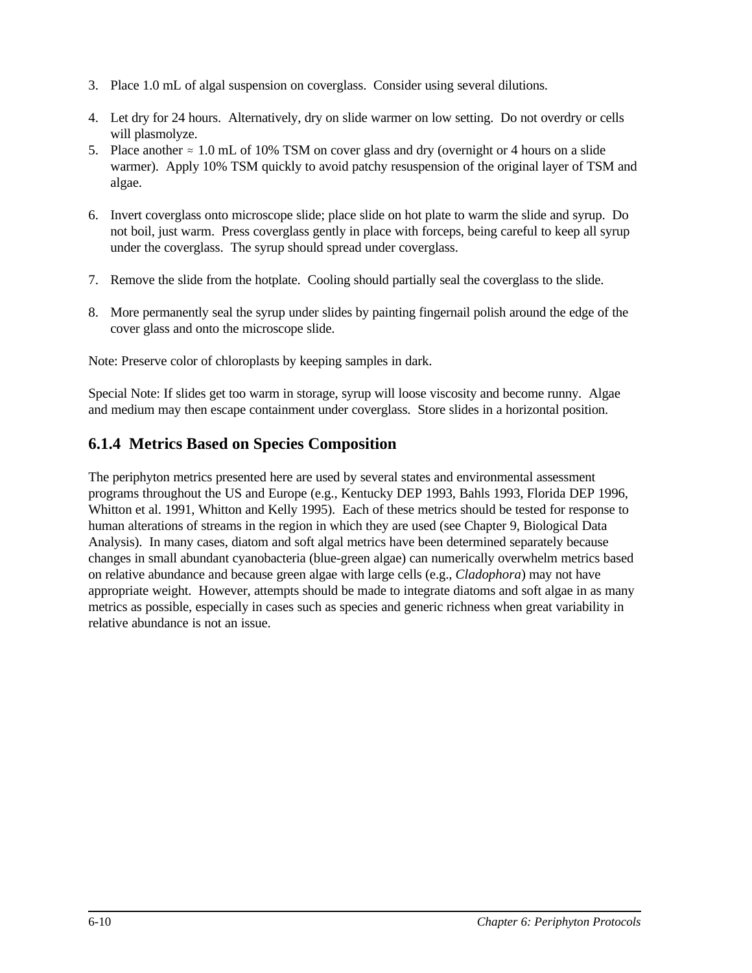- 3. Place 1.0 mL of algal suspension on coverglass. Consider using several dilutions.
- 4. Let dry for 24 hours. Alternatively, dry on slide warmer on low setting. Do not overdry or cells will plasmolyze.
- 5. Place another  $\approx 1.0$  mL of 10% TSM on cover glass and dry (overnight or 4 hours on a slide warmer). Apply 10% TSM quickly to avoid patchy resuspension of the original layer of TSM and algae.
- 6. Invert coverglass onto microscope slide; place slide on hot plate to warm the slide and syrup. Do not boil, just warm. Press coverglass gently in place with forceps, being careful to keep all syrup under the coverglass. The syrup should spread under coverglass.
- 7. Remove the slide from the hotplate. Cooling should partially seal the coverglass to the slide.
- 8. More permanently seal the syrup under slides by painting fingernail polish around the edge of the cover glass and onto the microscope slide.

Note: Preserve color of chloroplasts by keeping samples in dark.

Special Note: If slides get too warm in storage, syrup will loose viscosity and become runny. Algae and medium may then escape containment under coverglass. Store slides in a horizontal position.

## **6.1.4 Metrics Based on Species Composition**

The periphyton metrics presented here are used by several states and environmental assessment programs throughout the US and Europe (e.g., Kentucky DEP 1993, Bahls 1993, Florida DEP 1996, Whitton et al. 1991, Whitton and Kelly 1995). Each of these metrics should be tested for response to human alterations of streams in the region in which they are used (see Chapter 9, Biological Data Analysis). In many cases, diatom and soft algal metrics have been determined separately because changes in small abundant cyanobacteria (blue-green algae) can numerically overwhelm metrics based on relative abundance and because green algae with large cells (e.g., *Cladophora*) may not have appropriate weight. However, attempts should be made to integrate diatoms and soft algae in as many metrics as possible, especially in cases such as species and generic richness when great variability in relative abundance is not an issue.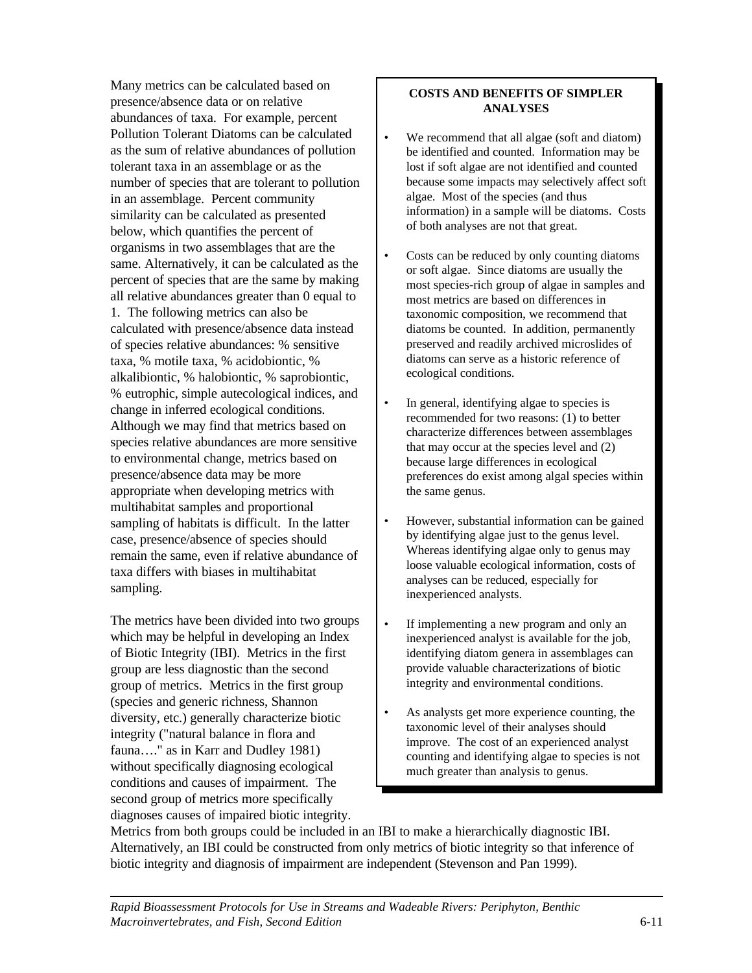Many metrics can be calculated based on presence/absence data or on relative abundances of taxa. For example, percent Pollution Tolerant Diatoms can be calculated as the sum of relative abundances of pollution tolerant taxa in an assemblage or as the number of species that are tolerant to pollution in an assemblage. Percent community similarity can be calculated as presented below, which quantifies the percent of organisms in two assemblages that are the same. Alternatively, it can be calculated as the percent of species that are the same by making all relative abundances greater than 0 equal to 1. The following metrics can also be calculated with presence/absence data instead of species relative abundances: % sensitive taxa, % motile taxa, % acidobiontic, % alkalibiontic, % halobiontic, % saprobiontic, % eutrophic, simple autecological indices, and change in inferred ecological conditions. Although we may find that metrics based on species relative abundances are more sensitive to environmental change, metrics based on presence/absence data may be more appropriate when developing metrics with multihabitat samples and proportional sampling of habitats is difficult. In the latter case, presence/absence of species should remain the same, even if relative abundance of taxa differs with biases in multihabitat sampling.

The metrics have been divided into two groups which may be helpful in developing an Index of Biotic Integrity (IBI). Metrics in the first group are less diagnostic than the second group of metrics. Metrics in the first group (species and generic richness, Shannon diversity, etc.) generally characterize biotic integrity ("natural balance in flora and fauna…." as in Karr and Dudley 1981) without specifically diagnosing ecological conditions and causes of impairment. The second group of metrics more specifically diagnoses causes of impaired biotic integrity.

## **COSTS AND BENEFITS OF SIMPLER ANALYSES**

- We recommend that all algae (soft and diatom) be identified and counted. Information may be lost if soft algae are not identified and counted because some impacts may selectively affect soft algae. Most of the species (and thus information) in a sample will be diatoms. Costs of both analyses are not that great.
- Costs can be reduced by only counting diatoms or soft algae. Since diatoms are usually the most species-rich group of algae in samples and most metrics are based on differences in taxonomic composition, we recommend that diatoms be counted. In addition, permanently preserved and readily archived microslides of diatoms can serve as a historic reference of ecological conditions.
- In general, identifying algae to species is recommended for two reasons: (1) to better characterize differences between assemblages that may occur at the species level and (2) because large differences in ecological preferences do exist among algal species within the same genus.
- However, substantial information can be gained by identifying algae just to the genus level. Whereas identifying algae only to genus may loose valuable ecological information, costs of analyses can be reduced, especially for inexperienced analysts.
- If implementing a new program and only an inexperienced analyst is available for the job, identifying diatom genera in assemblages can provide valuable characterizations of biotic integrity and environmental conditions.
- As analysts get more experience counting, the taxonomic level of their analyses should improve. The cost of an experienced analyst counting and identifying algae to species is not much greater than analysis to genus.

Metrics from both groups could be included in an IBI to make a hierarchically diagnostic IBI. Alternatively, an IBI could be constructed from only metrics of biotic integrity so that inference of biotic integrity and diagnosis of impairment are independent (Stevenson and Pan 1999).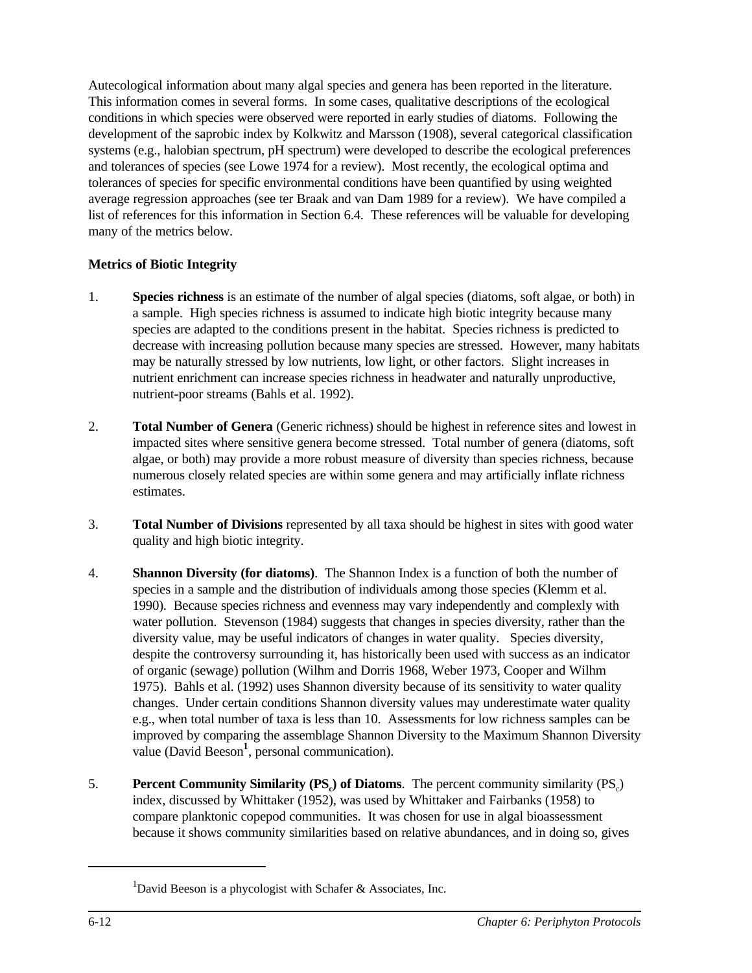Autecological information about many algal species and genera has been reported in the literature. This information comes in several forms. In some cases, qualitative descriptions of the ecological conditions in which species were observed were reported in early studies of diatoms. Following the development of the saprobic index by Kolkwitz and Marsson (1908), several categorical classification systems (e.g., halobian spectrum, pH spectrum) were developed to describe the ecological preferences and tolerances of species (see Lowe 1974 for a review). Most recently, the ecological optima and tolerances of species for specific environmental conditions have been quantified by using weighted average regression approaches (see ter Braak and van Dam 1989 for a review). We have compiled a list of references for this information in Section 6.4. These references will be valuable for developing many of the metrics below.

## **Metrics of Biotic Integrity**

- 1. **Species richness** is an estimate of the number of algal species (diatoms, soft algae, or both) in a sample. High species richness is assumed to indicate high biotic integrity because many species are adapted to the conditions present in the habitat. Species richness is predicted to decrease with increasing pollution because many species are stressed. However, many habitats may be naturally stressed by low nutrients, low light, or other factors. Slight increases in nutrient enrichment can increase species richness in headwater and naturally unproductive, nutrient-poor streams (Bahls et al. 1992).
- 2. **Total Number of Genera** (Generic richness) should be highest in reference sites and lowest in impacted sites where sensitive genera become stressed. Total number of genera (diatoms, soft algae, or both) may provide a more robust measure of diversity than species richness, because numerous closely related species are within some genera and may artificially inflate richness estimates.
- 3. **Total Number of Divisions** represented by all taxa should be highest in sites with good water quality and high biotic integrity.
- 4. **Shannon Diversity (for diatoms)**. The Shannon Index is a function of both the number of species in a sample and the distribution of individuals among those species (Klemm et al. 1990). Because species richness and evenness may vary independently and complexly with water pollution. Stevenson (1984) suggests that changes in species diversity, rather than the diversity value, may be useful indicators of changes in water quality. Species diversity, despite the controversy surrounding it, has historically been used with success as an indicator of organic (sewage) pollution (Wilhm and Dorris 1968, Weber 1973, Cooper and Wilhm 1975). Bahls et al. (1992) uses Shannon diversity because of its sensitivity to water quality changes. Under certain conditions Shannon diversity values may underestimate water quality e.g., when total number of taxa is less than 10. Assessments for low richness samples can be improved by comparing the assemblage Shannon Diversity to the Maximum Shannon Diversity value (David Beeson<sup>1</sup>, personal communication).
- 5. **Percent Community Similarity (PS<sub>c</sub>) of Diatoms**. The percent community similarity (PS<sub>c</sub>) index, discussed by Whittaker (1952), was used by Whittaker and Fairbanks (1958) to compare planktonic copepod communities. It was chosen for use in algal bioassessment because it shows community similarities based on relative abundances, and in doing so, gives

<sup>&</sup>lt;sup>1</sup>David Beeson is a phycologist with Schafer & Associates, Inc.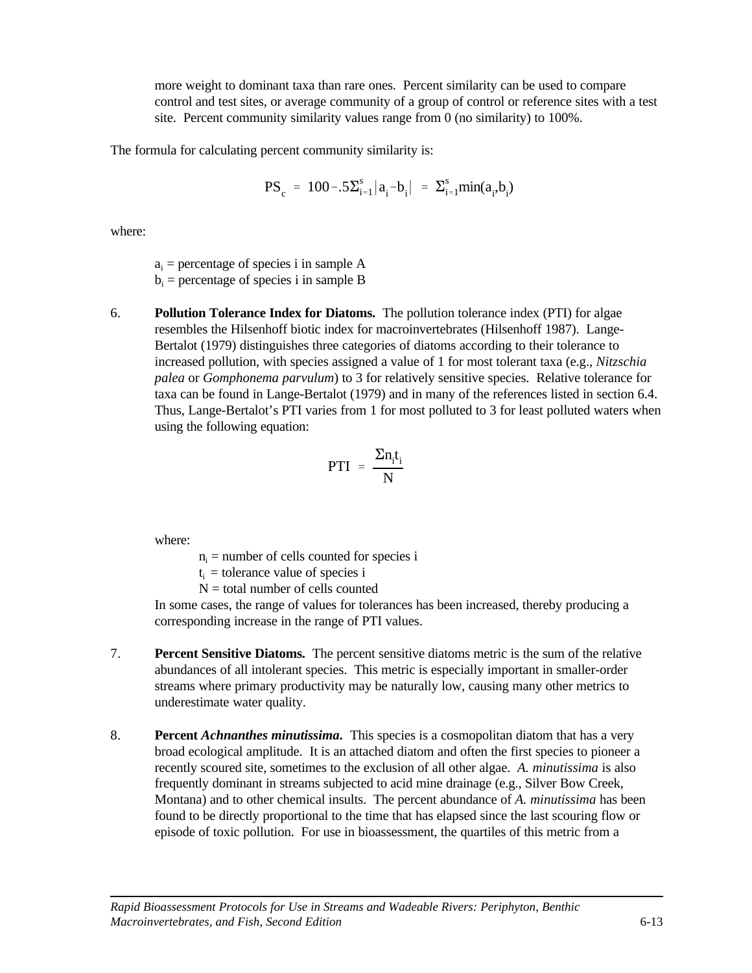more weight to dominant taxa than rare ones. Percent similarity can be used to compare control and test sites, or average community of a group of control or reference sites with a test site. Percent community similarity values range from 0 (no similarity) to 100%.

The formula for calculating percent community similarity is:

$$
PS_c = 100-.5\Sigma_{i=1}^s |a_i - b_i| = \Sigma_{i=1}^s min(a_i, b_i)
$$

where:

 $a_i$  = percentage of species i in sample A  $b_i$  = percentage of species i in sample B

6. **Pollution Tolerance Index for Diatoms.** The pollution tolerance index (PTI) for algae resembles the Hilsenhoff biotic index for macroinvertebrates (Hilsenhoff 1987). Lange-Bertalot (1979) distinguishes three categories of diatoms according to their tolerance to increased pollution, with species assigned a value of 1 for most tolerant taxa (e.g., *Nitzschia palea* or *Gomphonema parvulum*) to 3 for relatively sensitive species. Relative tolerance for taxa can be found in Lange-Bertalot (1979) and in many of the references listed in section 6.4. Thus, Lange-Bertalot's PTI varies from 1 for most polluted to 3 for least polluted waters when using the following equation:

$$
PTI = \frac{\Sigma n_i t_i}{N}
$$

where:

 $n_i$  = number of cells counted for species i

- $t_i$  = tolerance value of species i
- $N =$  total number of cells counted

In some cases, the range of values for tolerances has been increased, thereby producing a corresponding increase in the range of PTI values.

- 7. **Percent Sensitive Diatoms.** The percent sensitive diatoms metric is the sum of the relative abundances of all intolerant species. This metric is especially important in smaller-order streams where primary productivity may be naturally low, causing many other metrics to underestimate water quality.
- 8. **Percent** *Achnanthes minutissima***.** This species is a cosmopolitan diatom that has a very broad ecological amplitude. It is an attached diatom and often the first species to pioneer a recently scoured site, sometimes to the exclusion of all other algae. *A. minutissima* is also frequently dominant in streams subjected to acid mine drainage (e.g., Silver Bow Creek, Montana) and to other chemical insults. The percent abundance of *A. minutissima* has been found to be directly proportional to the time that has elapsed since the last scouring flow or episode of toxic pollution. For use in bioassessment, the quartiles of this metric from a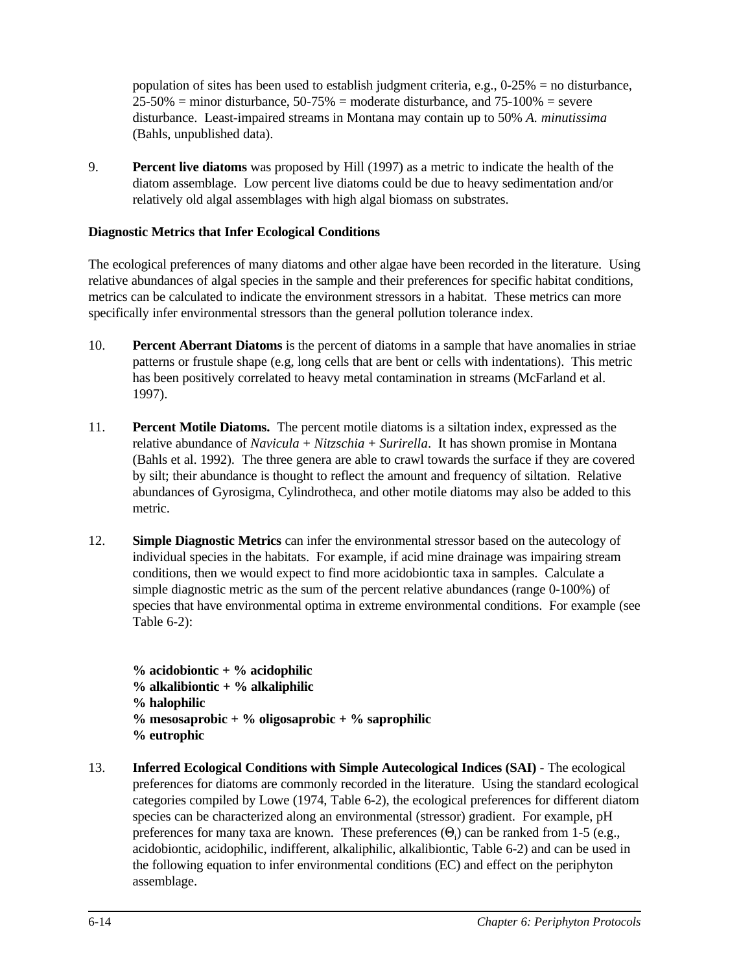population of sites has been used to establish judgment criteria, e.g., 0-25% = no disturbance,  $25-50\%$  = minor disturbance,  $50-75\%$  = moderate disturbance, and  $75-100\%$  = severe disturbance. Least-impaired streams in Montana may contain up to 50% *A. minutissima* (Bahls, unpublished data).

9. **Percent live diatoms** was proposed by Hill (1997) as a metric to indicate the health of the diatom assemblage. Low percent live diatoms could be due to heavy sedimentation and/or relatively old algal assemblages with high algal biomass on substrates.

## **Diagnostic Metrics that Infer Ecological Conditions**

The ecological preferences of many diatoms and other algae have been recorded in the literature. Using relative abundances of algal species in the sample and their preferences for specific habitat conditions, metrics can be calculated to indicate the environment stressors in a habitat. These metrics can more specifically infer environmental stressors than the general pollution tolerance index.

- 10. **Percent Aberrant Diatoms** is the percent of diatoms in a sample that have anomalies in striae patterns or frustule shape (e.g, long cells that are bent or cells with indentations). This metric has been positively correlated to heavy metal contamination in streams (McFarland et al. 1997).
- 11. **Percent Motile Diatoms.** The percent motile diatoms is a siltation index, expressed as the relative abundance of *Navicula* + *Nitzschia* + *Surirella*. It has shown promise in Montana (Bahls et al. 1992). The three genera are able to crawl towards the surface if they are covered by silt; their abundance is thought to reflect the amount and frequency of siltation. Relative abundances of Gyrosigma, Cylindrotheca, and other motile diatoms may also be added to this metric.
- 12. **Simple Diagnostic Metrics** can infer the environmental stressor based on the autecology of individual species in the habitats. For example, if acid mine drainage was impairing stream conditions, then we would expect to find more acidobiontic taxa in samples. Calculate a simple diagnostic metric as the sum of the percent relative abundances (range 0-100%) of species that have environmental optima in extreme environmental conditions. For example (see Table 6-2):

**% acidobiontic + % acidophilic % alkalibiontic + % alkaliphilic % halophilic % mesosaprobic + % oligosaprobic + % saprophilic % eutrophic**

13. **Inferred Ecological Conditions with Simple Autecological Indices (SAI)** - The ecological preferences for diatoms are commonly recorded in the literature. Using the standard ecological categories compiled by Lowe (1974, Table 6-2), the ecological preferences for different diatom species can be characterized along an environmental (stressor) gradient. For example, pH preferences for many taxa are known. These preferences  $(\Theta_i)$  can be ranked from 1-5 (e.g., acidobiontic, acidophilic, indifferent, alkaliphilic, alkalibiontic, Table 6-2) and can be used in the following equation to infer environmental conditions (EC) and effect on the periphyton assemblage.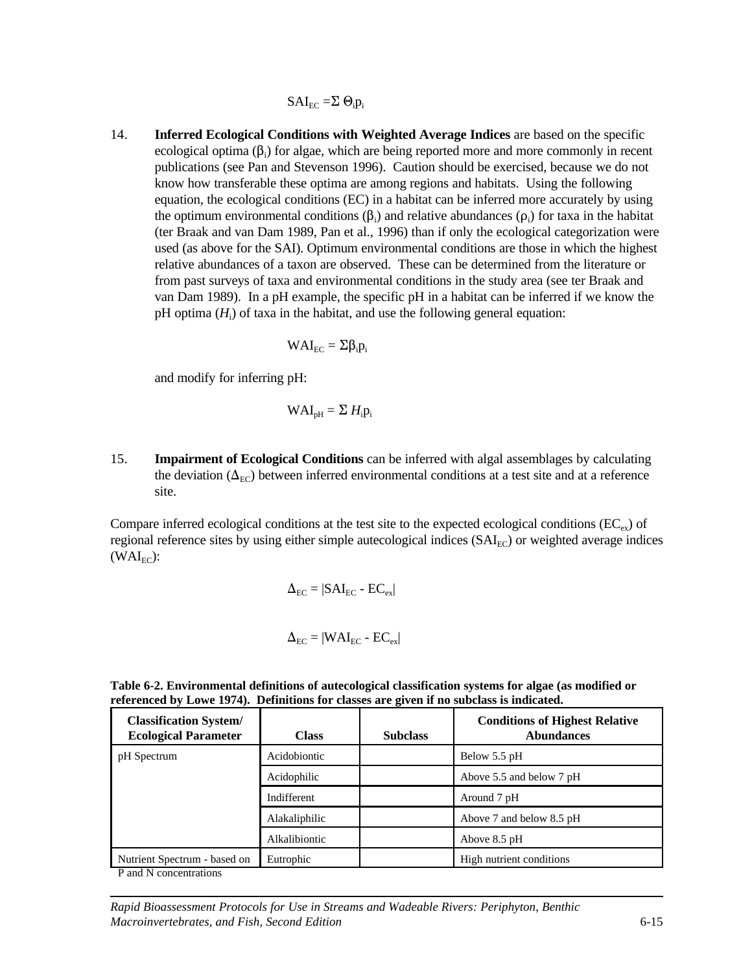$$
SAI_{EC} = \Sigma \Theta_i p_i
$$

14. **Inferred Ecological Conditions with Weighted Average Indices** are based on the specific ecological optima  $(\beta_i)$  for algae, which are being reported more and more commonly in recent publications (see Pan and Stevenson 1996). Caution should be exercised, because we do not know how transferable these optima are among regions and habitats. Using the following equation, the ecological conditions (EC) in a habitat can be inferred more accurately by using the optimum environmental conditions  $(\beta_i)$  and relative abundances  $(\rho_i)$  for taxa in the habitat (ter Braak and van Dam 1989, Pan et al., 1996) than if only the ecological categorization were used (as above for the SAI). Optimum environmental conditions are those in which the highest relative abundances of a taxon are observed. These can be determined from the literature or from past surveys of taxa and environmental conditions in the study area (see ter Braak and van Dam 1989). In a pH example, the specific pH in a habitat can be inferred if we know the pH optima (*H*<sup>i</sup> ) of taxa in the habitat, and use the following general equation:

$$
WAI_{EC} = \Sigma \beta_i p_i
$$

and modify for inferring pH:

$$
WAI_{pH} = \Sigma H_i p_i
$$

15. **Impairment of Ecological Conditions** can be inferred with algal assemblages by calculating the deviation  $(\Delta_{EC})$  between inferred environmental conditions at a test site and at a reference site.

Compare inferred ecological conditions at the test site to the expected ecological conditions ( $EC_{ex}$ ) of regional reference sites by using either simple autecological indices (SAI<sub>EC</sub>) or weighted average indices  $(WAI_{EC})$ :

$$
\Delta_{EC} = |SAI_{EC} - EC_{ex}|
$$

$$
\Delta_{EC} = |WAI_{EC} - EC_{ex}|
$$

| <b>Classification System/</b><br><b>Ecological Parameter</b> | <b>Class</b>  | <b>Subclass</b> | <b>Conditions of Highest Relative</b><br><b>Abundances</b> |
|--------------------------------------------------------------|---------------|-----------------|------------------------------------------------------------|
| pH Spectrum                                                  | Acidobiontic  |                 | Below 5.5 pH                                               |
|                                                              | Acidophilic   |                 | Above 5.5 and below 7 pH                                   |
|                                                              | Indifferent   |                 | Around 7 pH                                                |
|                                                              | Alakaliphilic |                 | Above 7 and below 8.5 pH                                   |
|                                                              | Alkalibiontic |                 | Above 8.5 pH                                               |
| Nutrient Spectrum - based on                                 | Eutrophic     |                 | High nutrient conditions                                   |

**Table 6-2. Environmental definitions of autecological classification systems for algae (as modified or referenced by Lowe 1974). Definitions for classes are given if no subclass is indicated.**

P and N concentrations

*Rapid Bioassessment Protocols for Use in Streams and Wadeable Rivers: Periphyton, Benthic Macroinvertebrates, and Fish, Second Edition* 6-15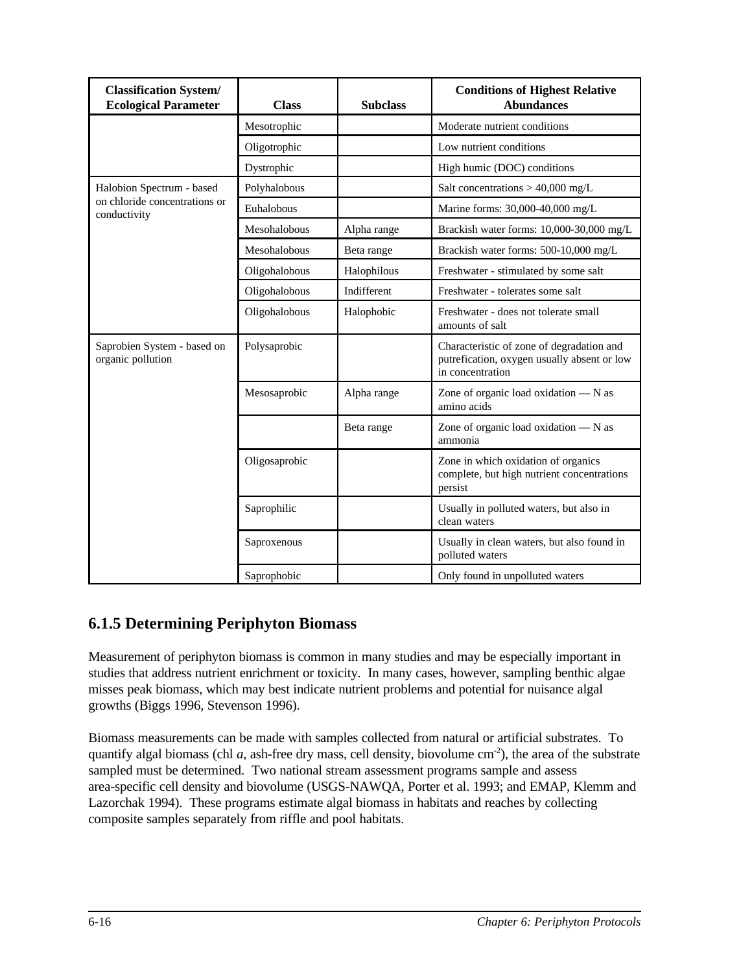| <b>Classification System/</b><br><b>Ecological Parameter</b>               | <b>Class</b>  | <b>Subclass</b>    | <b>Conditions of Highest Relative</b><br><b>Abundances</b>                                                   |
|----------------------------------------------------------------------------|---------------|--------------------|--------------------------------------------------------------------------------------------------------------|
|                                                                            | Mesotrophic   |                    | Moderate nutrient conditions                                                                                 |
|                                                                            | Oligotrophic  |                    | Low nutrient conditions                                                                                      |
|                                                                            | Dystrophic    |                    | High humic (DOC) conditions                                                                                  |
| Halobion Spectrum - based<br>on chloride concentrations or<br>conductivity | Polyhalobous  |                    | Salt concentrations $> 40,000$ mg/L                                                                          |
|                                                                            | Euhalobous    |                    | Marine forms: 30,000-40,000 mg/L                                                                             |
|                                                                            | Mesohalobous  | Alpha range        | Brackish water forms: 10,000-30,000 mg/L                                                                     |
|                                                                            | Mesohalobous  | Beta range         | Brackish water forms: 500-10,000 mg/L                                                                        |
|                                                                            | Oligohalobous | Halophilous        | Freshwater - stimulated by some salt                                                                         |
|                                                                            | Oligohalobous | <b>Indifferent</b> | Freshwater - tolerates some salt                                                                             |
|                                                                            | Oligohalobous | Halophobic         | Freshwater - does not tolerate small<br>amounts of salt                                                      |
| Saprobien System - based on<br>organic pollution                           | Polysaprobic  |                    | Characteristic of zone of degradation and<br>putrefication, oxygen usually absent or low<br>in concentration |
|                                                                            | Mesosaprobic  | Alpha range        | Zone of organic load oxidation $- N$ as<br>amino acids                                                       |
|                                                                            |               | Beta range         | Zone of organic load oxidation $- N$ as<br>ammonia                                                           |
|                                                                            | Oligosaprobic |                    | Zone in which oxidation of organics<br>complete, but high nutrient concentrations<br>persist                 |
|                                                                            | Saprophilic   |                    | Usually in polluted waters, but also in<br>clean waters                                                      |
|                                                                            | Saproxenous   |                    | Usually in clean waters, but also found in<br>polluted waters                                                |
|                                                                            | Saprophobic   |                    | Only found in unpolluted waters                                                                              |

# **6.1.5 Determining Periphyton Biomass**

Measurement of periphyton biomass is common in many studies and may be especially important in studies that address nutrient enrichment or toxicity. In many cases, however, sampling benthic algae misses peak biomass, which may best indicate nutrient problems and potential for nuisance algal growths (Biggs 1996, Stevenson 1996).

Biomass measurements can be made with samples collected from natural or artificial substrates. To quantify algal biomass (chl *a*, ash-free dry mass, cell density, biovolume  $\text{cm}^{-2}$ ), the area of the substrate sampled must be determined. Two national stream assessment programs sample and assess area-specific cell density and biovolume (USGS-NAWQA, Porter et al. 1993; and EMAP, Klemm and Lazorchak 1994). These programs estimate algal biomass in habitats and reaches by collecting composite samples separately from riffle and pool habitats.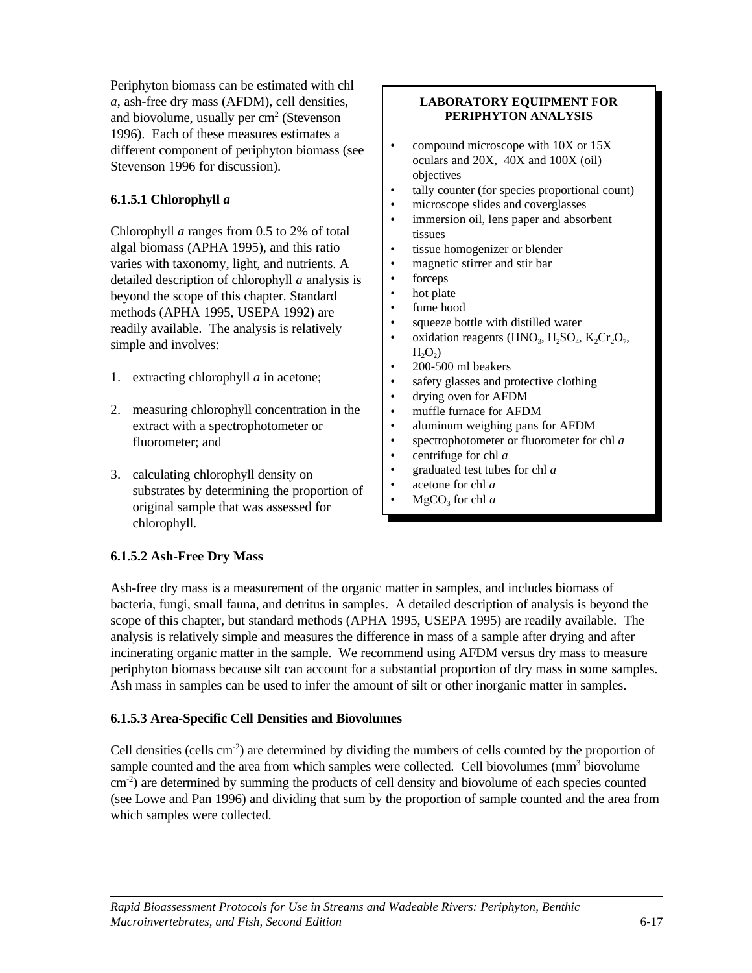Periphyton biomass can be estimated with chl *a*, ash-free dry mass (AFDM), cell densities, and biovolume, usually per  $cm<sup>2</sup>$  (Stevenson 1996). Each of these measures estimates a different component of periphyton biomass (see Stevenson 1996 for discussion).

## **6.1.5.1 Chlorophyll** *a*

Chlorophyll *a* ranges from 0.5 to 2% of total algal biomass (APHA 1995), and this ratio varies with taxonomy, light, and nutrients. A detailed description of chlorophyll *a* analysis is beyond the scope of this chapter. Standard methods (APHA 1995, USEPA 1992) are readily available. The analysis is relatively simple and involves:

- 1. extracting chlorophyll *a* in acetone;
- 2. measuring chlorophyll concentration in the extract with a spectrophotometer or fluorometer; and
- 3. calculating chlorophyll density on substrates by determining the proportion of original sample that was assessed for chlorophyll.

#### **LABORATORY EQUIPMENT FOR PERIPHYTON ANALYSIS**

- compound microscope with 10X or 15X oculars and 20X, 40X and 100X (oil) objectives
- tally counter (for species proportional count)
- microscope slides and coverglasses
- immersion oil, lens paper and absorbent tissues
- tissue homogenizer or blender
- magnetic stirrer and stir bar
- forceps
- hot plate
- fume hood
- squeeze bottle with distilled water
- oxidation reagents (HNO<sub>3</sub>, H<sub>2</sub>SO<sub>4</sub>, K<sub>2</sub>Cr<sub>2</sub>O<sub>7</sub>,  $H_2O_2$
- 200-500 ml beakers
- safety glasses and protective clothing
- drying oven for AFDM
- muffle furnace for AFDM
- aluminum weighing pans for AFDM
- spectrophotometer or fluorometer for chl *a*
- centrifuge for chl *a*
- graduated test tubes for chl *a*
- acetone for chl *a*
- $MgCO<sub>3</sub>$  for chl *a*

## **6.1.5.2 Ash-Free Dry Mass**

Ash-free dry mass is a measurement of the organic matter in samples, and includes biomass of bacteria, fungi, small fauna, and detritus in samples. A detailed description of analysis is beyond the scope of this chapter, but standard methods (APHA 1995, USEPA 1995) are readily available. The analysis is relatively simple and measures the difference in mass of a sample after drying and after incinerating organic matter in the sample. We recommend using AFDM versus dry mass to measure periphyton biomass because silt can account for a substantial proportion of dry mass in some samples. Ash mass in samples can be used to infer the amount of silt or other inorganic matter in samples.

#### **6.1.5.3 Area-Specific Cell Densities and Biovolumes**

Cell densities (cells  $cm<sup>-2</sup>$ ) are determined by dividing the numbers of cells counted by the proportion of sample counted and the area from which samples were collected. Cell biovolumes  $\text{mm}^3$  biovolume  $\rm cm^{-2}$ ) are determined by summing the products of cell density and biovolume of each species counted (see Lowe and Pan 1996) and dividing that sum by the proportion of sample counted and the area from which samples were collected.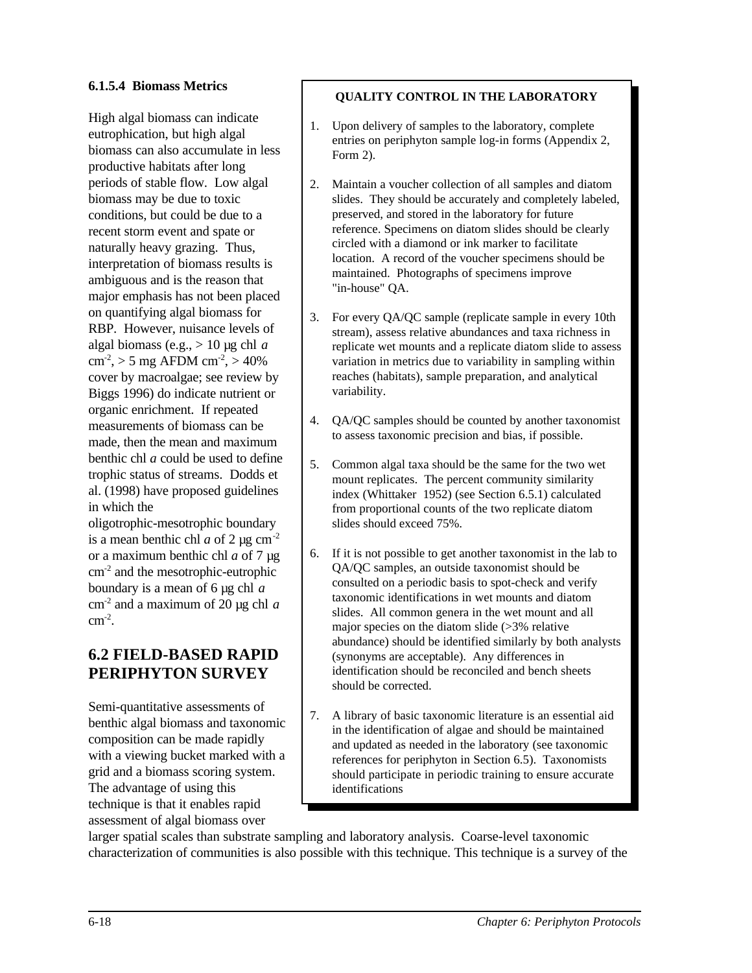## **6.1.5.4 Biomass Metrics**

High algal biomass can indicate eutrophication, but high algal biomass can also accumulate in less productive habitats after long periods of stable flow. Low algal biomass may be due to toxic conditions, but could be due to a recent storm event and spate or naturally heavy grazing. Thus, interpretation of biomass results is ambiguous and is the reason that major emphasis has not been placed on quantifying algal biomass for RBP. However, nuisance levels of algal biomass (e.g., > 10 µg chl *a*  $cm<sup>-2</sup>$ , > 5 mg AFDM  $cm<sup>-2</sup>$ , > 40% cover by macroalgae; see review by Biggs 1996) do indicate nutrient or organic enrichment. If repeated measurements of biomass can be made, then the mean and maximum benthic chl *a* could be used to define trophic status of streams. Dodds et al. (1998) have proposed guidelines in which the

oligotrophic-mesotrophic boundary is a mean benthic chl  $a$  of 2  $\mu$ g cm<sup>-2</sup> or a maximum benthic chl *a* of 7 µg cm-2 and the mesotrophic-eutrophic boundary is a mean of 6 µg chl *a* cm-2 and a maximum of 20 µg chl *a*  $\text{cm}^{\text{-2}}$ .

## **6.2 FIELD-BASED RAPID PERIPHYTON SURVEY**

Semi-quantitative assessments of benthic algal biomass and taxonomic composition can be made rapidly with a viewing bucket marked with a grid and a biomass scoring system. The advantage of using this technique is that it enables rapid assessment of algal biomass over

## **QUALITY CONTROL IN THE LABORATORY**

- 1. Upon delivery of samples to the laboratory, complete entries on periphyton sample log-in forms (Appendix 2, Form 2).
- 2. Maintain a voucher collection of all samples and diatom slides. They should be accurately and completely labeled, preserved, and stored in the laboratory for future reference. Specimens on diatom slides should be clearly circled with a diamond or ink marker to facilitate location. A record of the voucher specimens should be maintained. Photographs of specimens improve "in-house" QA.
- 3. For every QA/QC sample (replicate sample in every 10th stream), assess relative abundances and taxa richness in replicate wet mounts and a replicate diatom slide to assess variation in metrics due to variability in sampling within reaches (habitats), sample preparation, and analytical variability.
- 4. QA/QC samples should be counted by another taxonomist to assess taxonomic precision and bias, if possible.
- 5. Common algal taxa should be the same for the two wet mount replicates. The percent community similarity index (Whittaker 1952) (see Section 6.5.1) calculated from proportional counts of the two replicate diatom slides should exceed 75%.
- 6. If it is not possible to get another taxonomist in the lab to QA/QC samples, an outside taxonomist should be consulted on a periodic basis to spot-check and verify taxonomic identifications in wet mounts and diatom slides. All common genera in the wet mount and all major species on the diatom slide (>3% relative abundance) should be identified similarly by both analysts (synonyms are acceptable). Any differences in identification should be reconciled and bench sheets should be corrected.
- 7. A library of basic taxonomic literature is an essential aid in the identification of algae and should be maintained and updated as needed in the laboratory (see taxonomic references for periphyton in Section 6.5). Taxonomists should participate in periodic training to ensure accurate identifications

larger spatial scales than substrate sampling and laboratory analysis. Coarse-level taxonomic characterization of communities is also possible with this technique. This technique is a survey of the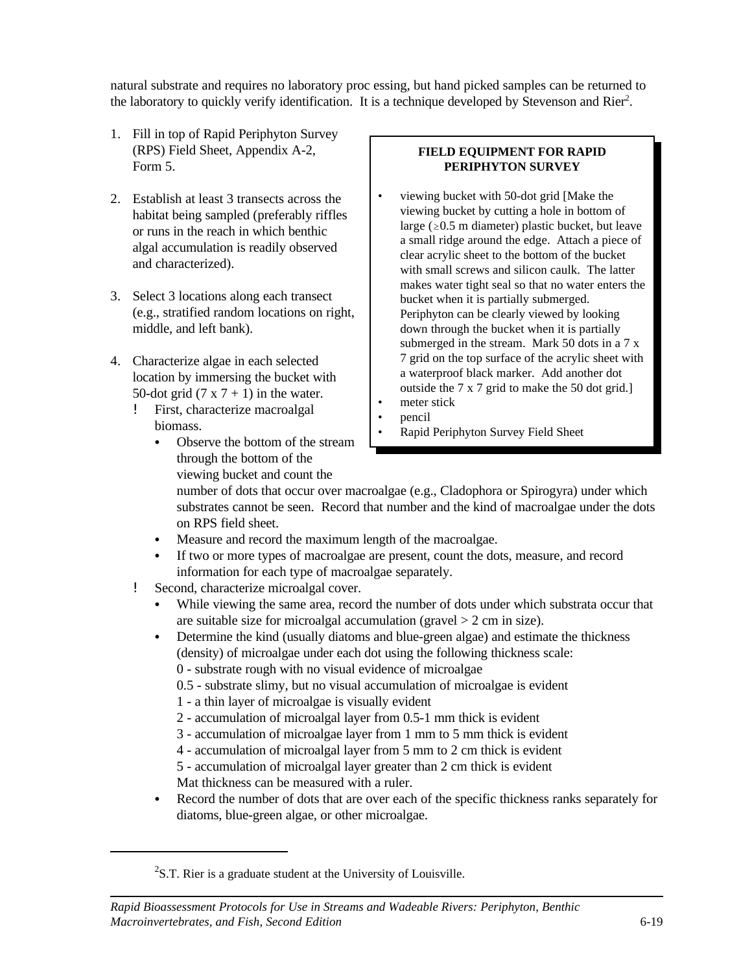natural substrate and requires no laboratory proc essing, but hand picked samples can be returned to the laboratory to quickly verify identification. It is a technique developed by Stevenson and Rier<sup>2</sup>.

- 1. Fill in top of Rapid Periphyton Survey (RPS) Field Sheet, Appendix A-2, Form 5.
- 2. Establish at least 3 transects across the habitat being sampled (preferably riffles or runs in the reach in which benthic algal accumulation is readily observed and characterized).
- 3. Select 3 locations along each transect (e.g., stratified random locations on right, middle, and left bank).
- 4. Characterize algae in each selected location by immersing the bucket with 50-dot grid  $(7 \times 7 + 1)$  in the water.
	- ! First, characterize macroalgal biomass.
		- Observe the bottom of the stream through the bottom of the viewing bucket and count the

## **FIELD EQUIPMENT FOR RAPID PERIPHYTON SURVEY**

- viewing bucket with 50-dot grid [Make the viewing bucket by cutting a hole in bottom of large ( $\geq 0.5$  m diameter) plastic bucket, but leave a small ridge around the edge. Attach a piece of clear acrylic sheet to the bottom of the bucket with small screws and silicon caulk. The latter makes water tight seal so that no water enters the bucket when it is partially submerged. Periphyton can be clearly viewed by looking down through the bucket when it is partially submerged in the stream. Mark 50 dots in a 7 x 7 grid on the top surface of the acrylic sheet with a waterproof black marker. Add another dot outside the 7 x 7 grid to make the 50 dot grid.]
- meter stick
- pencil
- Rapid Periphyton Survey Field Sheet

number of dots that occur over macroalgae (e.g., Cladophora or Spirogyra) under which substrates cannot be seen. Record that number and the kind of macroalgae under the dots on RPS field sheet.

- Measure and record the maximum length of the macroalgae.
- If two or more types of macroalgae are present, count the dots, measure, and record information for each type of macroalgae separately.
- ! Second, characterize microalgal cover.
	- While viewing the same area, record the number of dots under which substrata occur that are suitable size for microalgal accumulation (gravel  $> 2$  cm in size).
	- Determine the kind (usually diatoms and blue-green algae) and estimate the thickness (density) of microalgae under each dot using the following thickness scale:

0 - substrate rough with no visual evidence of microalgae

- 0.5 substrate slimy, but no visual accumulation of microalgae is evident
- 1 a thin layer of microalgae is visually evident
- 2 accumulation of microalgal layer from 0.5-1 mm thick is evident
- 3 accumulation of microalgae layer from 1 mm to 5 mm thick is evident
- 4 accumulation of microalgal layer from 5 mm to 2 cm thick is evident
- 5 accumulation of microalgal layer greater than 2 cm thick is evident Mat thickness can be measured with a ruler.
- Record the number of dots that are over each of the specific thickness ranks separately for diatoms, blue-green algae, or other microalgae.

 $2$ S.T. Rier is a graduate student at the University of Louisville.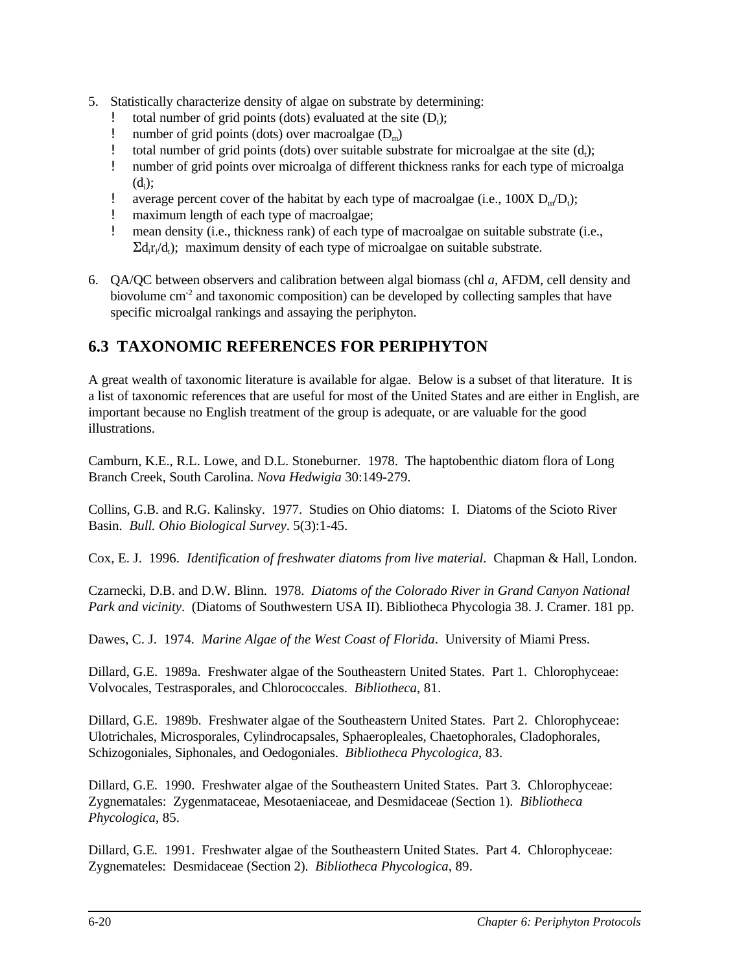- 5. Statistically characterize density of algae on substrate by determining:
	- total number of grid points (dots) evaluated at the site  $(D_t)$ ;
	- ! number of grid points (dots) over macroalgae  $(D_m)$ <br>! total number of grid points (dots) over suitable sub
	- **!** total number of grid points (dots) over suitable substrate for microalgae at the site  $(d_t)$ ;
	- ! number of grid points over microalga of different thickness ranks for each type of microalga  $(d_i);$
	- **!** average percent cover of the habitat by each type of macroalgae (i.e.,  $100X D_m/D_t$ );
	- ! maximum length of each type of macroalgae;
	- ! mean density (i.e., thickness rank) of each type of macroalgae on suitable substrate (i.e.,  $\Sigma d_i r_i/d_i$ ); maximum density of each type of microalgae on suitable substrate.
- 6. QA/QC between observers and calibration between algal biomass (chl *a*, AFDM, cell density and biovolume  $cm<sup>2</sup>$  and taxonomic composition) can be developed by collecting samples that have specific microalgal rankings and assaying the periphyton.

# **6.3 TAXONOMIC REFERENCES FOR PERIPHYTON**

A great wealth of taxonomic literature is available for algae. Below is a subset of that literature. It is a list of taxonomic references that are useful for most of the United States and are either in English, are important because no English treatment of the group is adequate, or are valuable for the good illustrations.

Camburn, K.E., R.L. Lowe, and D.L. Stoneburner. 1978. The haptobenthic diatom flora of Long Branch Creek, South Carolina. *Nova Hedwigia* 30:149-279.

Collins, G.B. and R.G. Kalinsky. 1977. Studies on Ohio diatoms: I. Diatoms of the Scioto River Basin. *Bull. Ohio Biological Survey*. 5(3):1-45.

Cox, E. J. 1996. *Identification of freshwater diatoms from live material*. Chapman & Hall, London.

Czarnecki, D.B. and D.W. Blinn. 1978. *Diatoms of the Colorado River in Grand Canyon National Park and vicinity*. (Diatoms of Southwestern USA II). Bibliotheca Phycologia 38. J. Cramer. 181 pp.

Dawes, C. J. 1974. *Marine Algae of the West Coast of Florida*. University of Miami Press.

Dillard, G.E. 1989a. Freshwater algae of the Southeastern United States. Part 1. Chlorophyceae: Volvocales, Testrasporales, and Chlorococcales. *Bibliotheca*, 81.

Dillard, G.E. 1989b. Freshwater algae of the Southeastern United States. Part 2. Chlorophyceae: Ulotrichales, Microsporales, Cylindrocapsales, Sphaeropleales, Chaetophorales, Cladophorales, Schizogoniales, Siphonales, and Oedogoniales. *Bibliotheca Phycologica*, 83.

Dillard, G.E. 1990. Freshwater algae of the Southeastern United States. Part 3. Chlorophyceae: Zygnematales: Zygenmataceae, Mesotaeniaceae, and Desmidaceae (Section 1). *Bibliotheca Phycologica*, 85.

Dillard, G.E. 1991. Freshwater algae of the Southeastern United States. Part 4. Chlorophyceae: Zygnemateles: Desmidaceae (Section 2). *Bibliotheca Phycologica*, 89.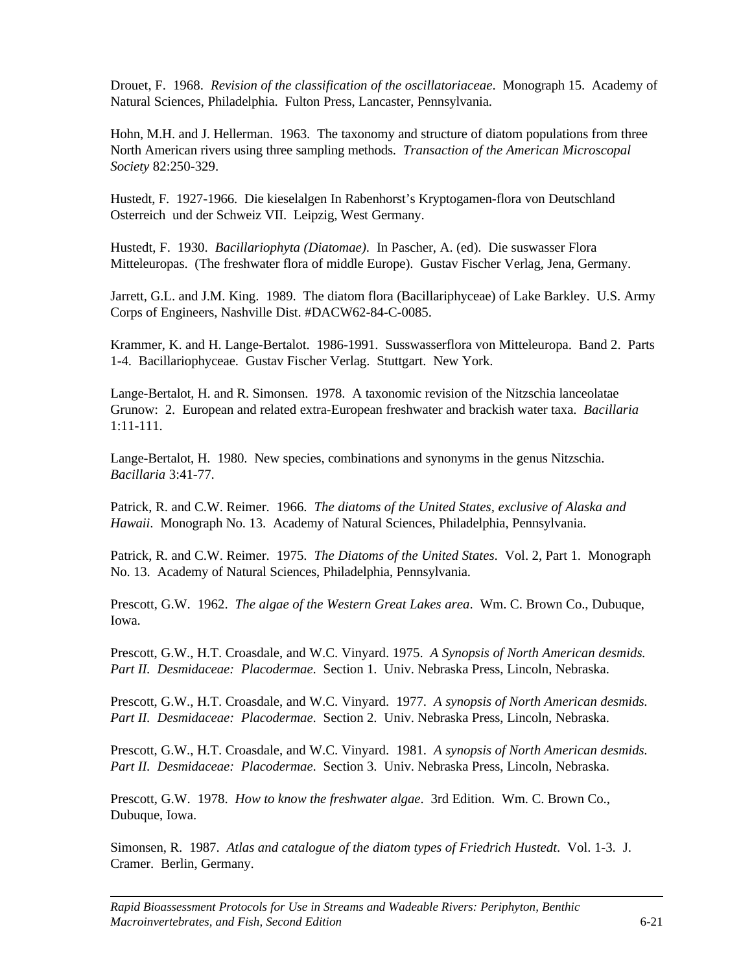Drouet, F. 1968. *Revision of the classification of the oscillatoriaceae*. Monograph 15. Academy of Natural Sciences, Philadelphia. Fulton Press, Lancaster, Pennsylvania.

Hohn, M.H. and J. Hellerman. 1963. The taxonomy and structure of diatom populations from three North American rivers using three sampling methods. *Transaction of the American Microscopal Society* 82:250-329.

Hustedt, F. 1927-1966. Die kieselalgen In Rabenhorst's Kryptogamen-flora von Deutschland Osterreich und der Schweiz VII. Leipzig, West Germany.

Hustedt, F. 1930. *Bacillariophyta (Diatomae)*. In Pascher, A. (ed). Die suswasser Flora Mitteleuropas. (The freshwater flora of middle Europe). Gustav Fischer Verlag, Jena, Germany.

Jarrett, G.L. and J.M. King. 1989. The diatom flora (Bacillariphyceae) of Lake Barkley. U.S. Army Corps of Engineers, Nashville Dist. #DACW62-84-C-0085.

Krammer, K. and H. Lange-Bertalot. 1986-1991. Susswasserflora von Mitteleuropa. Band 2. Parts 1-4. Bacillariophyceae. Gustav Fischer Verlag. Stuttgart. New York.

Lange-Bertalot, H. and R. Simonsen. 1978. A taxonomic revision of the Nitzschia lanceolatae Grunow: 2. European and related extra-European freshwater and brackish water taxa. *Bacillaria* 1:11-111.

Lange-Bertalot, H. 1980. New species, combinations and synonyms in the genus Nitzschia. *Bacillaria* 3:41-77.

Patrick, R. and C.W. Reimer. 1966. *The diatoms of the United States, exclusive of Alaska and Hawaii*. Monograph No. 13. Academy of Natural Sciences, Philadelphia, Pennsylvania.

Patrick, R. and C.W. Reimer. 1975. *The Diatoms of the United States*. Vol. 2, Part 1. Monograph No. 13. Academy of Natural Sciences, Philadelphia, Pennsylvania.

Prescott, G.W. 1962. *The algae of the Western Great Lakes area*. Wm. C. Brown Co., Dubuque, Iowa.

Prescott, G.W., H.T. Croasdale, and W.C. Vinyard. 1975. *A Synopsis of North American desmids.*  Part II. Desmidaceae: Placodermae. Section 1. Univ. Nebraska Press, Lincoln, Nebraska.

Prescott, G.W., H.T. Croasdale, and W.C. Vinyard. 1977. *A synopsis of North American desmids. Part II. Desmidaceae: Placodermae*. Section 2. Univ. Nebraska Press, Lincoln, Nebraska.

Prescott, G.W., H.T. Croasdale, and W.C. Vinyard. 1981. *A synopsis of North American desmids. Part II. Desmidaceae: Placodermae*. Section 3. Univ. Nebraska Press, Lincoln, Nebraska.

Prescott, G.W. 1978. *How to know the freshwater algae*. 3rd Edition. Wm. C. Brown Co., Dubuque, Iowa.

Simonsen, R. 1987. *Atlas and catalogue of the diatom types of Friedrich Hustedt*. Vol. 1-3. J. Cramer. Berlin, Germany.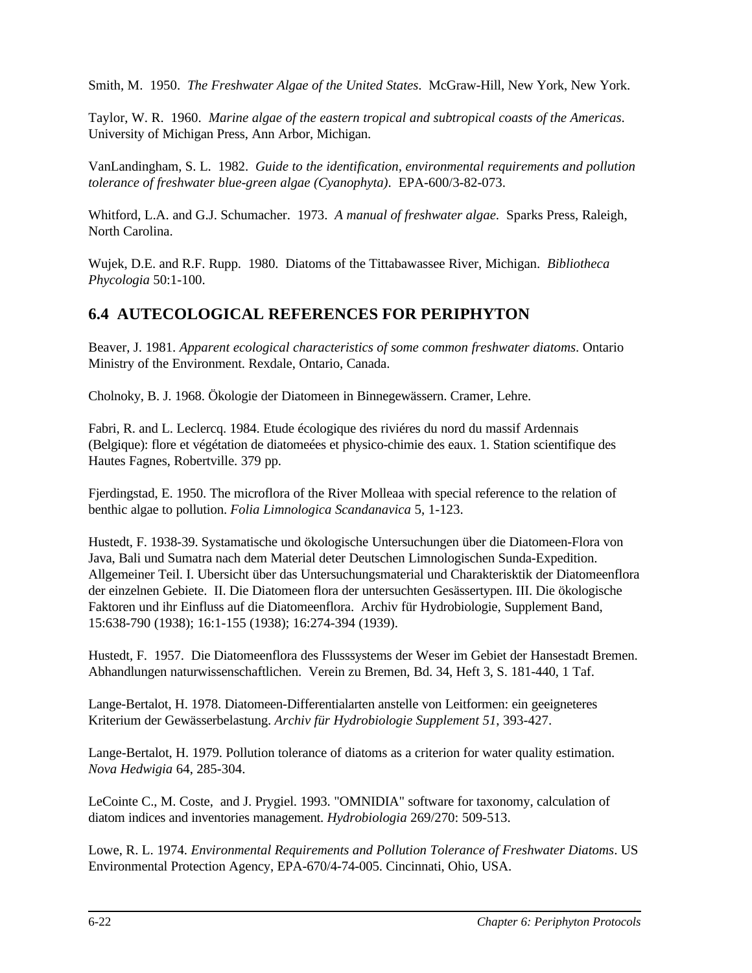Smith, M. 1950. *The Freshwater Algae of the United States*. McGraw-Hill, New York, New York.

Taylor, W. R. 1960. *Marine algae of the eastern tropical and subtropical coasts of the Americas*. University of Michigan Press, Ann Arbor, Michigan.

VanLandingham, S. L. 1982. *Guide to the identification, environmental requirements and pollution tolerance of freshwater blue-green algae (Cyanophyta)*. EPA-600/3-82-073.

Whitford, L.A. and G.J. Schumacher. 1973. *A manual of freshwater algae*. Sparks Press, Raleigh, North Carolina.

Wujek, D.E. and R.F. Rupp. 1980. Diatoms of the Tittabawassee River, Michigan. *Bibliotheca Phycologia* 50:1-100.

## **6.4 AUTECOLOGICAL REFERENCES FOR PERIPHYTON**

Beaver, J. 1981. *Apparent ecological characteristics of some common freshwater diatoms*. Ontario Ministry of the Environment. Rexdale, Ontario, Canada.

Cholnoky, B. J. 1968. Ökologie der Diatomeen in Binnegewässern. Cramer, Lehre.

Fabri, R. and L. Leclercq. 1984. Etude écologique des riviéres du nord du massif Ardennais (Belgique): flore et végétation de diatomeées et physico-chimie des eaux. 1. Station scientifique des Hautes Fagnes, Robertville. 379 pp.

Fjerdingstad, E. 1950. The microflora of the River Molleaa with special reference to the relation of benthic algae to pollution. *Folia Limnologica Scandanavica* 5, 1-123.

Hustedt, F. 1938-39. Systamatische und ökologische Untersuchungen über die Diatomeen-Flora von Java, Bali und Sumatra nach dem Material deter Deutschen Limnologischen Sunda-Expedition. Allgemeiner Teil. I. Ubersicht über das Untersuchungsmaterial und Charakterisktik der Diatomeenflora der einzelnen Gebiete. II. Die Diatomeen flora der untersuchten Gesässertypen. III. Die ökologische Faktoren und ihr Einfluss auf die Diatomeenflora. Archiv für Hydrobiologie, Supplement Band, 15:638-790 (1938); 16:1-155 (1938); 16:274-394 (1939).

Hustedt, F. 1957. Die Diatomeenflora des Flusssystems der Weser im Gebiet der Hansestadt Bremen. Abhandlungen naturwissenschaftlichen. Verein zu Bremen, Bd. 34, Heft 3, S. 181-440, 1 Taf.

Lange-Bertalot, H. 1978. Diatomeen-Differentialarten anstelle von Leitformen: ein geeigneteres Kriterium der Gewässerbelastung. *Archiv für Hydrobiologie Supplement 51*, 393-427.

Lange-Bertalot, H. 1979. Pollution tolerance of diatoms as a criterion for water quality estimation. *Nova Hedwigia* 64, 285-304.

LeCointe C., M. Coste, and J. Prygiel. 1993. "OMNIDIA" software for taxonomy, calculation of diatom indices and inventories management. *Hydrobiologia* 269/270: 509-513.

Lowe, R. L. 1974. *Environmental Requirements and Pollution Tolerance of Freshwater Diatoms*. US Environmental Protection Agency, EPA-670/4-74-005. Cincinnati, Ohio, USA.